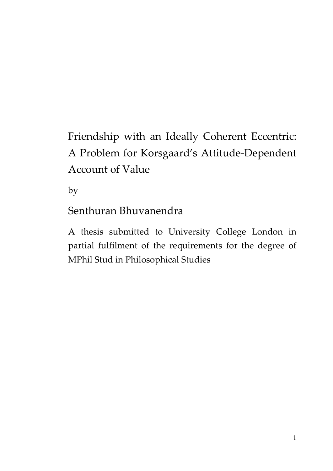# Friendship with an Ideally Coherent Eccentric: A Problem for Korsgaard's Attitude-Dependent Account of Value

by

Senthuran Bhuvanendra

A thesis submitted to University College London in partial fulfilment of the requirements for the degree of MPhil Stud in Philosophical Studies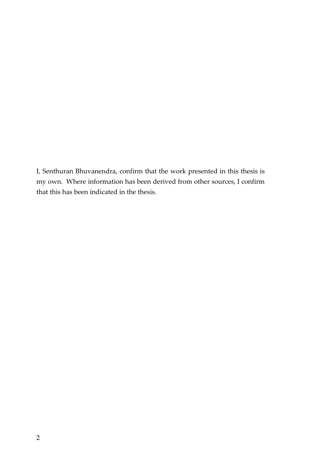I, Senthuran Bhuvanendra, confirm that the work presented in this thesis is my own. Where information has been derived from other sources, I confirm that this has been indicated in the thesis.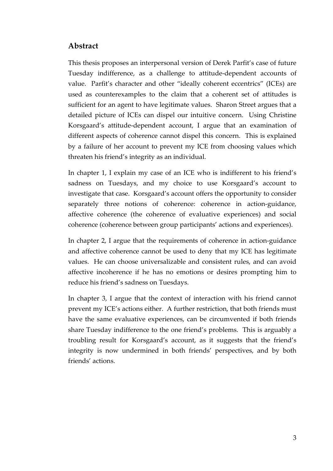#### **Abstract**

This thesis proposes an interpersonal version of Derek Parfit's case of future Tuesday indifference, as a challenge to attitude-dependent accounts of value. Parfit's character and other "ideally coherent eccentrics" (ICEs) are used as counterexamples to the claim that a coherent set of attitudes is sufficient for an agent to have legitimate values. Sharon Street argues that a detailed picture of ICEs can dispel our intuitive concern. Using Christine Korsgaard's attitude-dependent account, I argue that an examination of different aspects of coherence cannot dispel this concern. This is explained by a failure of her account to prevent my ICE from choosing values which threaten his friend's integrity as an individual.

In chapter 1, I explain my case of an ICE who is indifferent to his friend's sadness on Tuesdays, and my choice to use Korsgaard's account to investigate that case. Korsgaard's account offers the opportunity to consider separately three notions of coherence: coherence in action-guidance, affective coherence (the coherence of evaluative experiences) and social coherence (coherence between group participants' actions and experiences).

In chapter 2, I argue that the requirements of coherence in action-guidance and affective coherence cannot be used to deny that my ICE has legitimate values. He can choose universalizable and consistent rules, and can avoid affective incoherence if he has no emotions or desires prompting him to reduce his friend's sadness on Tuesdays.

In chapter 3, I argue that the context of interaction with his friend cannot prevent my ICE's actions either. A further restriction, that both friends must have the same evaluative experiences, can be circumvented if both friends share Tuesday indifference to the one friend's problems. This is arguably a troubling result for Korsgaard's account, as it suggests that the friend's integrity is now undermined in both friends' perspectives, and by both friends' actions.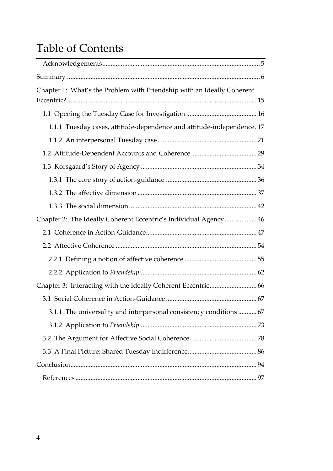## Table of Contents

| Chapter 1: What's the Problem with Friendship with an Ideally Coherent |  |
|------------------------------------------------------------------------|--|
|                                                                        |  |
|                                                                        |  |
| 1.1.1 Tuesday cases, attitude-dependence and attitude-independence. 17 |  |
|                                                                        |  |
|                                                                        |  |
|                                                                        |  |
|                                                                        |  |
|                                                                        |  |
|                                                                        |  |
| Chapter 2: The Ideally Coherent Eccentric's Individual Agency  46      |  |
|                                                                        |  |
|                                                                        |  |
|                                                                        |  |
|                                                                        |  |
|                                                                        |  |
|                                                                        |  |
| 3.1.1 The universality and interpersonal consistency conditions  67    |  |
|                                                                        |  |
|                                                                        |  |
|                                                                        |  |
|                                                                        |  |
|                                                                        |  |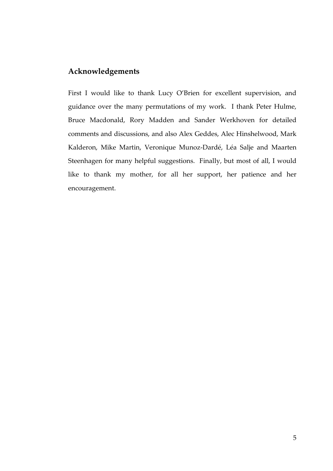#### **Acknowledgements**

First I would like to thank Lucy O'Brien for excellent supervision, and guidance over the many permutations of my work. I thank Peter Hulme, Bruce Macdonald, Rory Madden and Sander Werkhoven for detailed comments and discussions, and also Alex Geddes, Alec Hinshelwood, Mark Kalderon, Mike Martin, Veronique Munoz-Dardé, Léa Salje and Maarten Steenhagen for many helpful suggestions. Finally, but most of all, I would like to thank my mother, for all her support, her patience and her encouragement.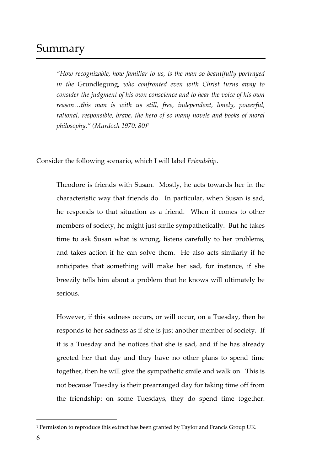### Summary

*"How recognizable, how familiar to us, is the man so beautifully portrayed in the* Grundlegung*, who confronted even with Christ turns away to consider the judgment of his own conscience and to hear the voice of his own reason…this man is with us still, free, independent, lonely, powerful, rational, responsible, brave, the hero of so many novels and books of moral philosophy." (Murdoch 1970: 80)<sup>1</sup>*

Consider the following scenario, which I will label *Friendship*.

Theodore is friends with Susan. Mostly, he acts towards her in the characteristic way that friends do. In particular, when Susan is sad, he responds to that situation as a friend. When it comes to other members of society, he might just smile sympathetically. But he takes time to ask Susan what is wrong, listens carefully to her problems, and takes action if he can solve them. He also acts similarly if he anticipates that something will make her sad, for instance, if she breezily tells him about a problem that he knows will ultimately be serious.

However, if this sadness occurs, or will occur, on a Tuesday, then he responds to her sadness as if she is just another member of society. If it is a Tuesday and he notices that she is sad, and if he has already greeted her that day and they have no other plans to spend time together, then he will give the sympathetic smile and walk on. This is not because Tuesday is their prearranged day for taking time off from the friendship: on some Tuesdays, they do spend time together.

 $\overline{a}$ 

<sup>1</sup> Permission to reproduce this extract has been granted by Taylor and Francis Group UK.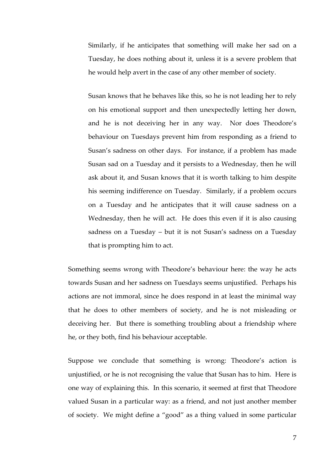Similarly, if he anticipates that something will make her sad on a Tuesday, he does nothing about it, unless it is a severe problem that he would help avert in the case of any other member of society.

Susan knows that he behaves like this, so he is not leading her to rely on his emotional support and then unexpectedly letting her down, and he is not deceiving her in any way. Nor does Theodore's behaviour on Tuesdays prevent him from responding as a friend to Susan's sadness on other days. For instance, if a problem has made Susan sad on a Tuesday and it persists to a Wednesday, then he will ask about it, and Susan knows that it is worth talking to him despite his seeming indifference on Tuesday. Similarly, if a problem occurs on a Tuesday and he anticipates that it will cause sadness on a Wednesday, then he will act. He does this even if it is also causing sadness on a Tuesday – but it is not Susan's sadness on a Tuesday that is prompting him to act.

Something seems wrong with Theodore's behaviour here: the way he acts towards Susan and her sadness on Tuesdays seems unjustified. Perhaps his actions are not immoral, since he does respond in at least the minimal way that he does to other members of society, and he is not misleading or deceiving her. But there is something troubling about a friendship where he, or they both, find his behaviour acceptable.

Suppose we conclude that something is wrong: Theodore's action is unjustified, or he is not recognising the value that Susan has to him. Here is one way of explaining this. In this scenario, it seemed at first that Theodore valued Susan in a particular way: as a friend, and not just another member of society. We might define a "good" as a thing valued in some particular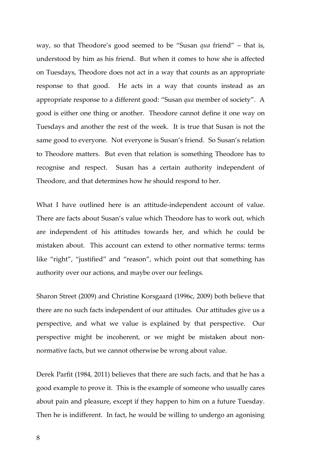way, so that Theodore's good seemed to be "Susan *qua* friend" – that is, understood by him as his friend. But when it comes to how she is affected on Tuesdays, Theodore does not act in a way that counts as an appropriate response to that good. He acts in a way that counts instead as an appropriate response to a different good: "Susan *qua* member of society". A good is either one thing or another. Theodore cannot define it one way on Tuesdays and another the rest of the week. It is true that Susan is not the same good to everyone. Not everyone is Susan's friend. So Susan's relation to Theodore matters. But even that relation is something Theodore has to recognise and respect. Susan has a certain authority independent of Theodore, and that determines how he should respond to her.

What I have outlined here is an attitude-independent account of value. There are facts about Susan's value which Theodore has to work out, which are independent of his attitudes towards her, and which he could be mistaken about. This account can extend to other normative terms: terms like "right", "justified" and "reason", which point out that something has authority over our actions, and maybe over our feelings.

Sharon Street (2009) and Christine Korsgaard (1996c, 2009) both believe that there are no such facts independent of our attitudes. Our attitudes give us a perspective, and what we value is explained by that perspective. Our perspective might be incoherent, or we might be mistaken about nonnormative facts, but we cannot otherwise be wrong about value.

Derek Parfit (1984, 2011) believes that there are such facts, and that he has a good example to prove it. This is the example of someone who usually cares about pain and pleasure, except if they happen to him on a future Tuesday. Then he is indifferent. In fact, he would be willing to undergo an agonising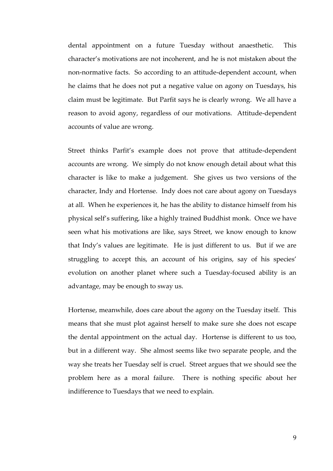dental appointment on a future Tuesday without anaesthetic. This character's motivations are not incoherent, and he is not mistaken about the non-normative facts. So according to an attitude-dependent account, when he claims that he does not put a negative value on agony on Tuesdays, his claim must be legitimate. But Parfit says he is clearly wrong. We all have a reason to avoid agony, regardless of our motivations. Attitude-dependent accounts of value are wrong.

Street thinks Parfit's example does not prove that attitude-dependent accounts are wrong. We simply do not know enough detail about what this character is like to make a judgement. She gives us two versions of the character, Indy and Hortense. Indy does not care about agony on Tuesdays at all. When he experiences it, he has the ability to distance himself from his physical self's suffering, like a highly trained Buddhist monk. Once we have seen what his motivations are like, says Street, we know enough to know that Indy's values are legitimate. He is just different to us. But if we are struggling to accept this, an account of his origins, say of his species' evolution on another planet where such a Tuesday-focused ability is an advantage, may be enough to sway us.

Hortense, meanwhile, does care about the agony on the Tuesday itself. This means that she must plot against herself to make sure she does not escape the dental appointment on the actual day. Hortense is different to us too, but in a different way. She almost seems like two separate people, and the way she treats her Tuesday self is cruel. Street argues that we should see the problem here as a moral failure. There is nothing specific about her indifference to Tuesdays that we need to explain.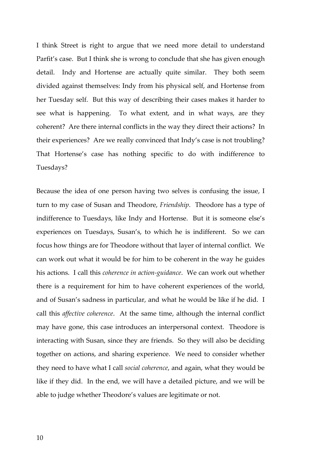I think Street is right to argue that we need more detail to understand Parfit's case. But I think she is wrong to conclude that she has given enough detail. Indy and Hortense are actually quite similar. They both seem divided against themselves: Indy from his physical self, and Hortense from her Tuesday self. But this way of describing their cases makes it harder to see what is happening. To what extent, and in what ways, are they coherent? Are there internal conflicts in the way they direct their actions? In their experiences? Are we really convinced that Indy's case is not troubling? That Hortense's case has nothing specific to do with indifference to Tuesdays?

Because the idea of one person having two selves is confusing the issue, I turn to my case of Susan and Theodore, *Friendship*. Theodore has a type of indifference to Tuesdays, like Indy and Hortense. But it is someone else's experiences on Tuesdays, Susan's, to which he is indifferent. So we can focus how things are for Theodore without that layer of internal conflict. We can work out what it would be for him to be coherent in the way he guides his actions. I call this *coherence in action-guidance*. We can work out whether there is a requirement for him to have coherent experiences of the world, and of Susan's sadness in particular, and what he would be like if he did. I call this *affective coherence*. At the same time, although the internal conflict may have gone, this case introduces an interpersonal context. Theodore is interacting with Susan, since they are friends. So they will also be deciding together on actions, and sharing experience. We need to consider whether they need to have what I call *social coherence*, and again, what they would be like if they did. In the end, we will have a detailed picture, and we will be able to judge whether Theodore's values are legitimate or not.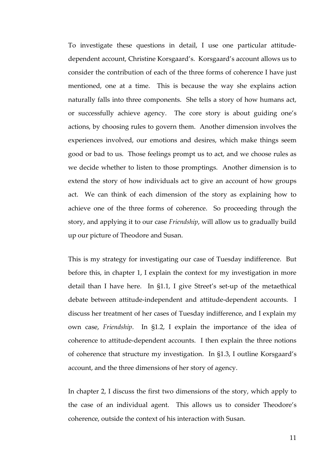To investigate these questions in detail, I use one particular attitudedependent account, Christine Korsgaard's. Korsgaard's account allows us to consider the contribution of each of the three forms of coherence I have just mentioned, one at a time. This is because the way she explains action naturally falls into three components. She tells a story of how humans act, or successfully achieve agency. The core story is about guiding one's actions, by choosing rules to govern them. Another dimension involves the experiences involved, our emotions and desires, which make things seem good or bad to us. Those feelings prompt us to act, and we choose rules as we decide whether to listen to those promptings. Another dimension is to extend the story of how individuals act to give an account of how groups act. We can think of each dimension of the story as explaining how to achieve one of the three forms of coherence. So proceeding through the story, and applying it to our case *Friendship*, will allow us to gradually build up our picture of Theodore and Susan.

This is my strategy for investigating our case of Tuesday indifference. But before this, in chapter 1, I explain the context for my investigation in more detail than I have here. In §1.1, I give Street's set-up of the metaethical debate between attitude-independent and attitude-dependent accounts. I discuss her treatment of her cases of Tuesday indifference, and I explain my own case, *Friendship*. In §1.2, I explain the importance of the idea of coherence to attitude-dependent accounts. I then explain the three notions of coherence that structure my investigation. In §1.3, I outline Korsgaard's account, and the three dimensions of her story of agency.

In chapter 2, I discuss the first two dimensions of the story, which apply to the case of an individual agent. This allows us to consider Theodore's coherence, outside the context of his interaction with Susan.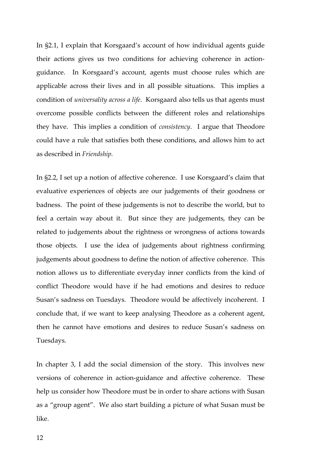In §2.1, I explain that Korsgaard's account of how individual agents guide their actions gives us two conditions for achieving coherence in actionguidance. In Korsgaard's account, agents must choose rules which are applicable across their lives and in all possible situations. This implies a condition of *universality across a life*. Korsgaard also tells us that agents must overcome possible conflicts between the different roles and relationships they have. This implies a condition of *consistency*. I argue that Theodore could have a rule that satisfies both these conditions, and allows him to act as described in *Friendship.*

In §2.2, I set up a notion of affective coherence. I use Korsgaard's claim that evaluative experiences of objects are our judgements of their goodness or badness. The point of these judgements is not to describe the world, but to feel a certain way about it. But since they are judgements, they can be related to judgements about the rightness or wrongness of actions towards those objects. I use the idea of judgements about rightness confirming judgements about goodness to define the notion of affective coherence. This notion allows us to differentiate everyday inner conflicts from the kind of conflict Theodore would have if he had emotions and desires to reduce Susan's sadness on Tuesdays. Theodore would be affectively incoherent. I conclude that, if we want to keep analysing Theodore as a coherent agent, then he cannot have emotions and desires to reduce Susan's sadness on Tuesdays.

In chapter 3, I add the social dimension of the story. This involves new versions of coherence in action-guidance and affective coherence. These help us consider how Theodore must be in order to share actions with Susan as a "group agent". We also start building a picture of what Susan must be like.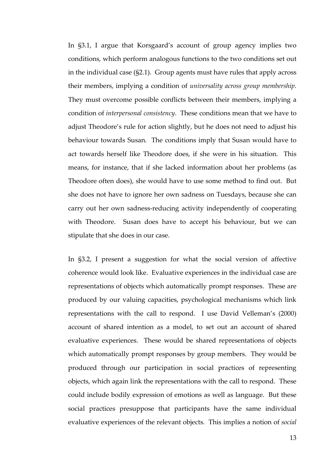In §3.1, I argue that Korsgaard's account of group agency implies two conditions, which perform analogous functions to the two conditions set out in the individual case (§2.1). Group agents must have rules that apply across their members, implying a condition of *universality across group membership*. They must overcome possible conflicts between their members, implying a condition of *interpersonal consistency*. These conditions mean that we have to adjust Theodore's rule for action slightly, but he does not need to adjust his behaviour towards Susan. The conditions imply that Susan would have to act towards herself like Theodore does, if she were in his situation. This means, for instance, that if she lacked information about her problems (as Theodore often does), she would have to use some method to find out. But she does not have to ignore her own sadness on Tuesdays, because she can carry out her own sadness-reducing activity independently of cooperating with Theodore. Susan does have to accept his behaviour, but we can stipulate that she does in our case.

In §3.2, I present a suggestion for what the social version of affective coherence would look like. Evaluative experiences in the individual case are representations of objects which automatically prompt responses. These are produced by our valuing capacities, psychological mechanisms which link representations with the call to respond. I use David Velleman's (2000) account of shared intention as a model, to set out an account of shared evaluative experiences. These would be shared representations of objects which automatically prompt responses by group members. They would be produced through our participation in social practices of representing objects, which again link the representations with the call to respond. These could include bodily expression of emotions as well as language. But these social practices presuppose that participants have the same individual evaluative experiences of the relevant objects. This implies a notion of *social*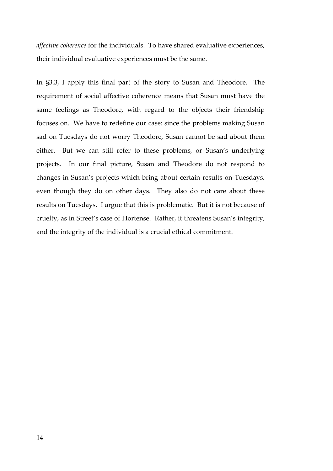*affective coherence* for the individuals. To have shared evaluative experiences, their individual evaluative experiences must be the same.

In §3.3, I apply this final part of the story to Susan and Theodore. The requirement of social affective coherence means that Susan must have the same feelings as Theodore, with regard to the objects their friendship focuses on. We have to redefine our case: since the problems making Susan sad on Tuesdays do not worry Theodore, Susan cannot be sad about them either. But we can still refer to these problems, or Susan's underlying projects. In our final picture, Susan and Theodore do not respond to changes in Susan's projects which bring about certain results on Tuesdays, even though they do on other days. They also do not care about these results on Tuesdays. I argue that this is problematic. But it is not because of cruelty, as in Street's case of Hortense. Rather, it threatens Susan's integrity, and the integrity of the individual is a crucial ethical commitment.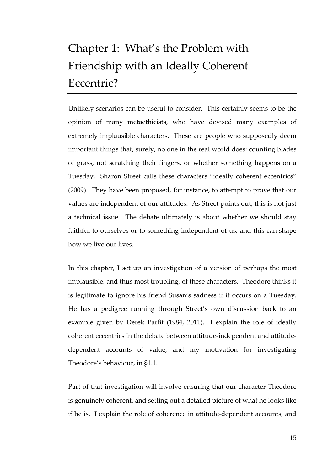# Chapter 1: What's the Problem with Friendship with an Ideally Coherent Eccentric?

Unlikely scenarios can be useful to consider. This certainly seems to be the opinion of many metaethicists, who have devised many examples of extremely implausible characters. These are people who supposedly deem important things that, surely, no one in the real world does: counting blades of grass, not scratching their fingers, or whether something happens on a Tuesday. Sharon Street calls these characters "ideally coherent eccentrics" (2009). They have been proposed, for instance, to attempt to prove that our values are independent of our attitudes. As Street points out, this is not just a technical issue. The debate ultimately is about whether we should stay faithful to ourselves or to something independent of us, and this can shape how we live our lives.

In this chapter, I set up an investigation of a version of perhaps the most implausible, and thus most troubling, of these characters. Theodore thinks it is legitimate to ignore his friend Susan's sadness if it occurs on a Tuesday. He has a pedigree running through Street's own discussion back to an example given by Derek Parfit (1984, 2011). I explain the role of ideally coherent eccentrics in the debate between attitude-independent and attitudedependent accounts of value, and my motivation for investigating Theodore's behaviour, in §1.1.

Part of that investigation will involve ensuring that our character Theodore is genuinely coherent, and setting out a detailed picture of what he looks like if he is. I explain the role of coherence in attitude-dependent accounts, and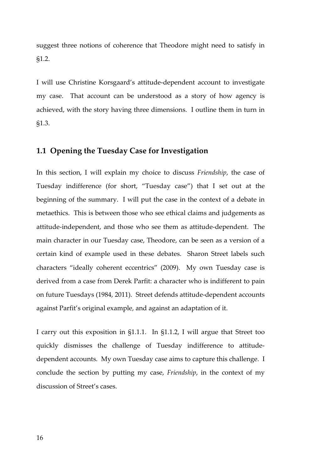suggest three notions of coherence that Theodore might need to satisfy in §1.2.

I will use Christine Korsgaard's attitude-dependent account to investigate my case. That account can be understood as a story of how agency is achieved, with the story having three dimensions. I outline them in turn in §1.3.

#### **1.1 Opening the Tuesday Case for Investigation**

In this section, I will explain my choice to discuss *Friendship*, the case of Tuesday indifference (for short, "Tuesday case") that I set out at the beginning of the summary. I will put the case in the context of a debate in metaethics. This is between those who see ethical claims and judgements as attitude-independent, and those who see them as attitude-dependent. The main character in our Tuesday case, Theodore, can be seen as a version of a certain kind of example used in these debates. Sharon Street labels such characters "ideally coherent eccentrics" (2009). My own Tuesday case is derived from a case from Derek Parfit: a character who is indifferent to pain on future Tuesdays (1984, 2011). Street defends attitude-dependent accounts against Parfit's original example, and against an adaptation of it.

I carry out this exposition in §1.1.1. In §1.1.2, I will argue that Street too quickly dismisses the challenge of Tuesday indifference to attitudedependent accounts. My own Tuesday case aims to capture this challenge. I conclude the section by putting my case, *Friendship*, in the context of my discussion of Street's cases.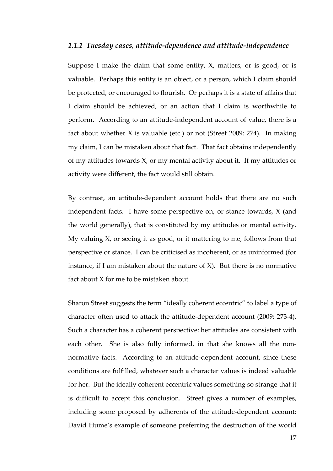#### *1.1.1 Tuesday cases, attitude-dependence and attitude-independence*

Suppose I make the claim that some entity, X, matters, or is good, or is valuable. Perhaps this entity is an object, or a person, which I claim should be protected, or encouraged to flourish. Or perhaps it is a state of affairs that I claim should be achieved, or an action that I claim is worthwhile to perform. According to an attitude-independent account of value, there is a fact about whether X is valuable (etc.) or not (Street 2009: 274). In making my claim, I can be mistaken about that fact. That fact obtains independently of my attitudes towards X, or my mental activity about it. If my attitudes or activity were different, the fact would still obtain.

By contrast, an attitude-dependent account holds that there are no such independent facts. I have some perspective on, or stance towards, X (and the world generally), that is constituted by my attitudes or mental activity. My valuing X, or seeing it as good, or it mattering to me, follows from that perspective or stance. I can be criticised as incoherent, or as uninformed (for instance, if I am mistaken about the nature of  $X$ ). But there is no normative fact about X for me to be mistaken about.

Sharon Street suggests the term "ideally coherent eccentric" to label a type of character often used to attack the attitude-dependent account (2009: 273-4). Such a character has a coherent perspective: her attitudes are consistent with each other. She is also fully informed, in that she knows all the nonnormative facts. According to an attitude-dependent account, since these conditions are fulfilled, whatever such a character values is indeed valuable for her. But the ideally coherent eccentric values something so strange that it is difficult to accept this conclusion. Street gives a number of examples, including some proposed by adherents of the attitude-dependent account: David Hume's example of someone preferring the destruction of the world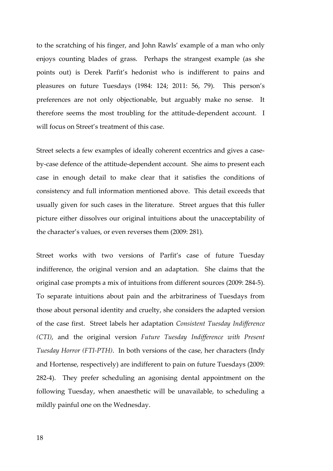to the scratching of his finger, and John Rawls' example of a man who only enjoys counting blades of grass. Perhaps the strangest example (as she points out) is Derek Parfit's hedonist who is indifferent to pains and pleasures on future Tuesdays (1984: 124; 2011: 56, 79). This person's preferences are not only objectionable, but arguably make no sense. It therefore seems the most troubling for the attitude-dependent account. I will focus on Street's treatment of this case.

Street selects a few examples of ideally coherent eccentrics and gives a caseby-case defence of the attitude-dependent account. She aims to present each case in enough detail to make clear that it satisfies the conditions of consistency and full information mentioned above. This detail exceeds that usually given for such cases in the literature. Street argues that this fuller picture either dissolves our original intuitions about the unacceptability of the character's values, or even reverses them (2009: 281).

Street works with two versions of Parfit's case of future Tuesday indifference, the original version and an adaptation. She claims that the original case prompts a mix of intuitions from different sources (2009: 284-5). To separate intuitions about pain and the arbitrariness of Tuesdays from those about personal identity and cruelty, she considers the adapted version of the case first. Street labels her adaptation *Consistent Tuesday Indifference (CTI)*, and the original version *Future Tuesday Indifference with Present Tuesday Horror (FTI-PTH)*. In both versions of the case, her characters (Indy and Hortense, respectively) are indifferent to pain on future Tuesdays (2009: 282-4). They prefer scheduling an agonising dental appointment on the following Tuesday, when anaesthetic will be unavailable, to scheduling a mildly painful one on the Wednesday.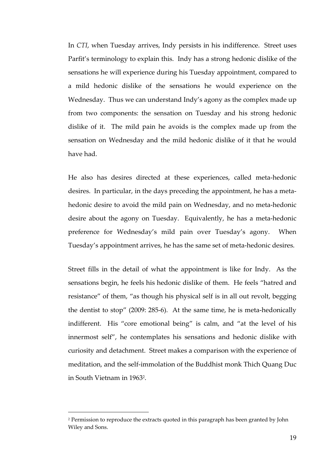In *CTI*, when Tuesday arrives, Indy persists in his indifference. Street uses Parfit's terminology to explain this. Indy has a strong hedonic dislike of the sensations he will experience during his Tuesday appointment, compared to a mild hedonic dislike of the sensations he would experience on the Wednesday. Thus we can understand Indy's agony as the complex made up from two components: the sensation on Tuesday and his strong hedonic dislike of it. The mild pain he avoids is the complex made up from the sensation on Wednesday and the mild hedonic dislike of it that he would have had.

He also has desires directed at these experiences, called meta-hedonic desires. In particular, in the days preceding the appointment, he has a metahedonic desire to avoid the mild pain on Wednesday, and no meta-hedonic desire about the agony on Tuesday. Equivalently, he has a meta-hedonic preference for Wednesday's mild pain over Tuesday's agony. When Tuesday's appointment arrives, he has the same set of meta-hedonic desires.

Street fills in the detail of what the appointment is like for Indy. As the sensations begin, he feels his hedonic dislike of them. He feels "hatred and resistance" of them, "as though his physical self is in all out revolt, begging the dentist to stop" (2009: 285-6). At the same time, he is meta-hedonically indifferent. His "core emotional being" is calm, and "at the level of his innermost self", he contemplates his sensations and hedonic dislike with curiosity and detachment. Street makes a comparison with the experience of meditation, and the self-immolation of the Buddhist monk Thich Quang Duc in South Vietnam in 1963<sup>2</sup> .

-

<sup>2</sup> Permission to reproduce the extracts quoted in this paragraph has been granted by John Wiley and Sons.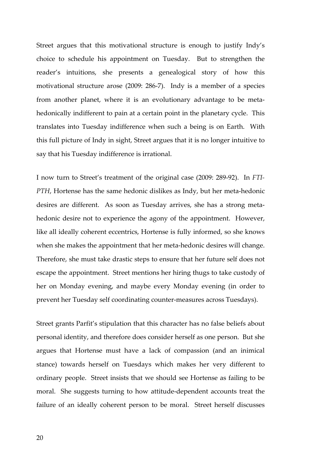Street argues that this motivational structure is enough to justify Indy's choice to schedule his appointment on Tuesday. But to strengthen the reader's intuitions, she presents a genealogical story of how this motivational structure arose (2009: 286-7). Indy is a member of a species from another planet, where it is an evolutionary advantage to be metahedonically indifferent to pain at a certain point in the planetary cycle. This translates into Tuesday indifference when such a being is on Earth. With this full picture of Indy in sight, Street argues that it is no longer intuitive to say that his Tuesday indifference is irrational.

I now turn to Street's treatment of the original case (2009: 289-92). In *FTI-PTH*, Hortense has the same hedonic dislikes as Indy, but her meta-hedonic desires are different. As soon as Tuesday arrives, she has a strong metahedonic desire not to experience the agony of the appointment. However, like all ideally coherent eccentrics, Hortense is fully informed, so she knows when she makes the appointment that her meta-hedonic desires will change. Therefore, she must take drastic steps to ensure that her future self does not escape the appointment. Street mentions her hiring thugs to take custody of her on Monday evening, and maybe every Monday evening (in order to prevent her Tuesday self coordinating counter-measures across Tuesdays).

Street grants Parfit's stipulation that this character has no false beliefs about personal identity, and therefore does consider herself as one person. But she argues that Hortense must have a lack of compassion (and an inimical stance) towards herself on Tuesdays which makes her very different to ordinary people. Street insists that we should see Hortense as failing to be moral. She suggests turning to how attitude-dependent accounts treat the failure of an ideally coherent person to be moral. Street herself discusses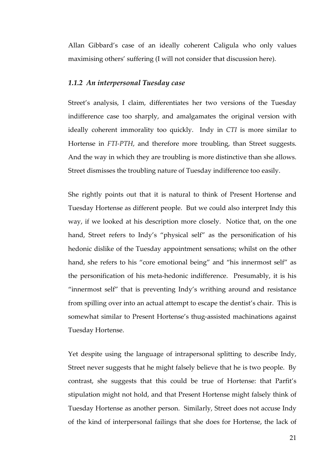Allan Gibbard's case of an ideally coherent Caligula who only values maximising others' suffering (I will not consider that discussion here).

#### *1.1.2 An interpersonal Tuesday case*

Street's analysis, I claim, differentiates her two versions of the Tuesday indifference case too sharply, and amalgamates the original version with ideally coherent immorality too quickly. Indy in *CTI* is more similar to Hortense in *FTI-PTH*, and therefore more troubling, than Street suggests. And the way in which they are troubling is more distinctive than she allows. Street dismisses the troubling nature of Tuesday indifference too easily.

She rightly points out that it is natural to think of Present Hortense and Tuesday Hortense as different people. But we could also interpret Indy this way, if we looked at his description more closely. Notice that, on the one hand, Street refers to Indy's "physical self" as the personification of his hedonic dislike of the Tuesday appointment sensations; whilst on the other hand, she refers to his "core emotional being" and "his innermost self" as the personification of his meta-hedonic indifference. Presumably, it is his "innermost self" that is preventing Indy's writhing around and resistance from spilling over into an actual attempt to escape the dentist's chair. This is somewhat similar to Present Hortense's thug-assisted machinations against Tuesday Hortense.

Yet despite using the language of intrapersonal splitting to describe Indy, Street never suggests that he might falsely believe that he is two people. By contrast, she suggests that this could be true of Hortense: that Parfit's stipulation might not hold, and that Present Hortense might falsely think of Tuesday Hortense as another person. Similarly, Street does not accuse Indy of the kind of interpersonal failings that she does for Hortense, the lack of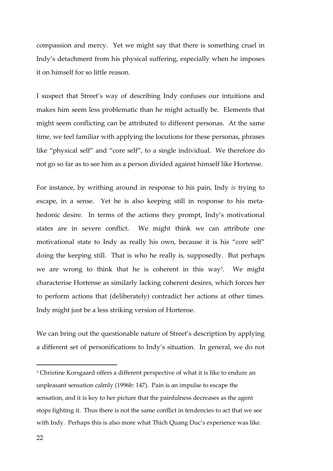compassion and mercy. Yet we might say that there is something cruel in Indy's detachment from his physical suffering, especially when he imposes it on himself for so little reason.

I suspect that Street's way of describing Indy confuses our intuitions and makes him seem less problematic than he might actually be. Elements that might seem conflicting can be attributed to different personas. At the same time, we feel familiar with applying the locutions for these personas, phrases like "physical self" and "core self", to a single individual. We therefore do not go so far as to see him as a person divided against himself like Hortense.

For instance, by writhing around in response to his pain, Indy *is* trying to escape, in a sense. Yet he is also keeping still in response to his metahedonic desire. In terms of the actions they prompt, Indy's motivational states are in severe conflict. We might think we can attribute one motivational state to Indy as really his own, because it is his "core self" doing the keeping still. That is who he really is, supposedly. But perhaps we are wrong to think that he is coherent in this way<sup>3</sup>. We might characterise Hortense as similarly lacking coherent desires, which forces her to perform actions that (deliberately) contradict her actions at other times. Indy might just be a less striking version of Hortense.

We can bring out the questionable nature of Street's description by applying a different set of personifications to Indy's situation. In general, we do not

 $\overline{a}$ 

<sup>3</sup> Christine Korsgaard offers a different perspective of what it is like to endure an unpleasant sensation calmly (1996b: 147). Pain is an impulse to escape the sensation, and it is key to her picture that the painfulness decreases as the agent stops fighting it. Thus there is not the same conflict in tendencies to act that we see with Indy. Perhaps this is also more what Thich Quang Duc's experience was like.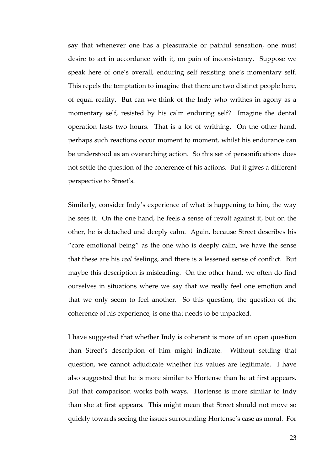say that whenever one has a pleasurable or painful sensation, one must desire to act in accordance with it, on pain of inconsistency. Suppose we speak here of one's overall, enduring self resisting one's momentary self. This repels the temptation to imagine that there are two distinct people here, of equal reality. But can we think of the Indy who writhes in agony as a momentary self, resisted by his calm enduring self? Imagine the dental operation lasts two hours. That is a lot of writhing. On the other hand, perhaps such reactions occur moment to moment, whilst his endurance can be understood as an overarching action. So this set of personifications does not settle the question of the coherence of his actions. But it gives a different perspective to Street's.

Similarly, consider Indy's experience of what is happening to him, the way he sees it. On the one hand, he feels a sense of revolt against it, but on the other, he is detached and deeply calm. Again, because Street describes his "core emotional being" as the one who is deeply calm, we have the sense that these are his *real* feelings, and there is a lessened sense of conflict. But maybe this description is misleading. On the other hand, we often do find ourselves in situations where we say that we really feel one emotion and that we only seem to feel another. So this question, the question of the coherence of his experience, is one that needs to be unpacked.

I have suggested that whether Indy is coherent is more of an open question than Street's description of him might indicate. Without settling that question, we cannot adjudicate whether his values are legitimate. I have also suggested that he is more similar to Hortense than he at first appears. But that comparison works both ways. Hortense is more similar to Indy than she at first appears. This might mean that Street should not move so quickly towards seeing the issues surrounding Hortense's case as moral. For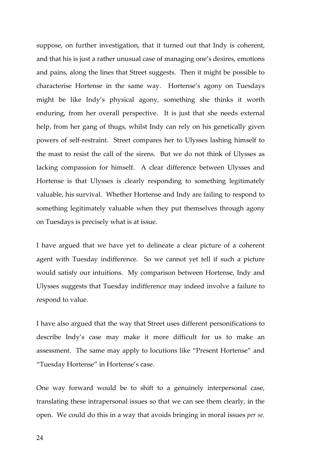suppose, on further investigation, that it turned out that Indy is coherent, and that his is just a rather unusual case of managing one's desires, emotions and pains, along the lines that Street suggests. Then it might be possible to characterise Hortense in the same way. Hortense's agony on Tuesdays might be like Indy's physical agony, something she thinks it worth enduring, from her overall perspective. It is just that she needs external help, from her gang of thugs, whilst Indy can rely on his genetically given powers of self-restraint. Street compares her to Ulysses lashing himself to the mast to resist the call of the sirens. But we do not think of Ulysses as lacking compassion for himself. A clear difference between Ulysses and Hortense is that Ulysses is clearly responding to something legitimately valuable, his survival. Whether Hortense and Indy are failing to respond to something legitimately valuable when they put themselves through agony on Tuesdays is precisely what is at issue.

I have argued that we have yet to delineate a clear picture of a coherent agent with Tuesday indifference. So we cannot yet tell if such a picture would satisfy our intuitions. My comparison between Hortense, Indy and Ulysses suggests that Tuesday indifference may indeed involve a failure to respond to value.

I have also argued that the way that Street uses different personifications to describe Indy's case may make it more difficult for us to make an assessment. The same may apply to locutions like "Present Hortense" and "Tuesday Hortense" in Hortense's case.

One way forward would be to shift to a genuinely interpersonal case, translating these intrapersonal issues so that we can see them clearly, in the open. We could do this in a way that avoids bringing in moral issues *per se.* 

24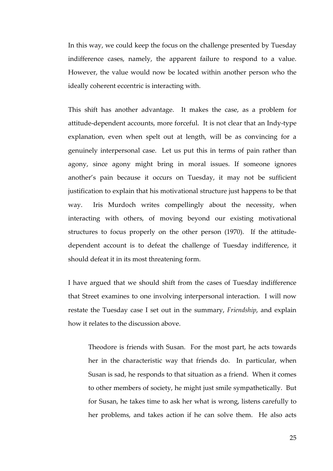In this way, we could keep the focus on the challenge presented by Tuesday indifference cases, namely, the apparent failure to respond to a value. However, the value would now be located within another person who the ideally coherent eccentric is interacting with.

This shift has another advantage. It makes the case, as a problem for attitude-dependent accounts, more forceful. It is not clear that an Indy-type explanation, even when spelt out at length, will be as convincing for a genuinely interpersonal case. Let us put this in terms of pain rather than agony, since agony might bring in moral issues. If someone ignores another's pain because it occurs on Tuesday, it may not be sufficient justification to explain that his motivational structure just happens to be that way. Iris Murdoch writes compellingly about the necessity, when interacting with others, of moving beyond our existing motivational structures to focus properly on the other person (1970). If the attitudedependent account is to defeat the challenge of Tuesday indifference, it should defeat it in its most threatening form.

I have argued that we should shift from the cases of Tuesday indifference that Street examines to one involving interpersonal interaction. I will now restate the Tuesday case I set out in the summary, *Friendship*, and explain how it relates to the discussion above.

Theodore is friends with Susan. For the most part, he acts towards her in the characteristic way that friends do. In particular, when Susan is sad, he responds to that situation as a friend. When it comes to other members of society, he might just smile sympathetically. But for Susan, he takes time to ask her what is wrong, listens carefully to her problems, and takes action if he can solve them. He also acts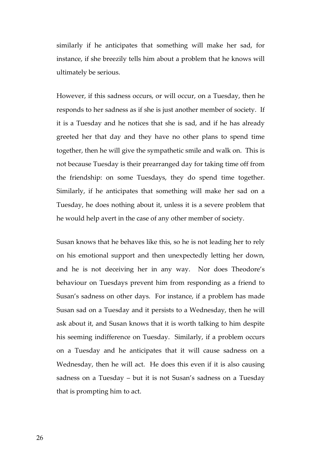similarly if he anticipates that something will make her sad, for instance, if she breezily tells him about a problem that he knows will ultimately be serious.

However, if this sadness occurs, or will occur, on a Tuesday, then he responds to her sadness as if she is just another member of society. If it is a Tuesday and he notices that she is sad, and if he has already greeted her that day and they have no other plans to spend time together, then he will give the sympathetic smile and walk on. This is not because Tuesday is their prearranged day for taking time off from the friendship: on some Tuesdays, they do spend time together. Similarly, if he anticipates that something will make her sad on a Tuesday, he does nothing about it, unless it is a severe problem that he would help avert in the case of any other member of society.

Susan knows that he behaves like this, so he is not leading her to rely on his emotional support and then unexpectedly letting her down, and he is not deceiving her in any way. Nor does Theodore's behaviour on Tuesdays prevent him from responding as a friend to Susan's sadness on other days. For instance, if a problem has made Susan sad on a Tuesday and it persists to a Wednesday, then he will ask about it, and Susan knows that it is worth talking to him despite his seeming indifference on Tuesday. Similarly, if a problem occurs on a Tuesday and he anticipates that it will cause sadness on a Wednesday, then he will act. He does this even if it is also causing sadness on a Tuesday – but it is not Susan's sadness on a Tuesday that is prompting him to act.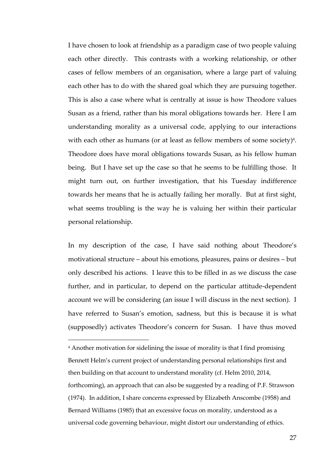I have chosen to look at friendship as a paradigm case of two people valuing each other directly. This contrasts with a working relationship, or other cases of fellow members of an organisation, where a large part of valuing each other has to do with the shared goal which they are pursuing together. This is also a case where what is centrally at issue is how Theodore values Susan as a friend, rather than his moral obligations towards her. Here I am understanding morality as a universal code, applying to our interactions with each other as humans (or at least as fellow members of some society)<sup>4</sup>. Theodore does have moral obligations towards Susan, as his fellow human being. But I have set up the case so that he seems to be fulfilling those. It might turn out, on further investigation, that his Tuesday indifference towards her means that he is actually failing her morally. But at first sight, what seems troubling is the way he is valuing her within their particular personal relationship.

In my description of the case, I have said nothing about Theodore's motivational structure – about his emotions, pleasures, pains or desires – but only described his actions. I leave this to be filled in as we discuss the case further, and in particular, to depend on the particular attitude-dependent account we will be considering (an issue I will discuss in the next section). I have referred to Susan's emotion, sadness, but this is because it is what (supposedly) activates Theodore's concern for Susan. I have thus moved

4 Another motivation for sidelining the issue of morality is that I find promising Bennett Helm's current project of understanding personal relationships first and then building on that account to understand morality (cf. Helm 2010, 2014, forthcoming), an approach that can also be suggested by a reading of P.F. Strawson (1974). In addition, I share concerns expressed by Elizabeth Anscombe (1958) and Bernard Williams (1985) that an excessive focus on morality, understood as a universal code governing behaviour, might distort our understanding of ethics.

-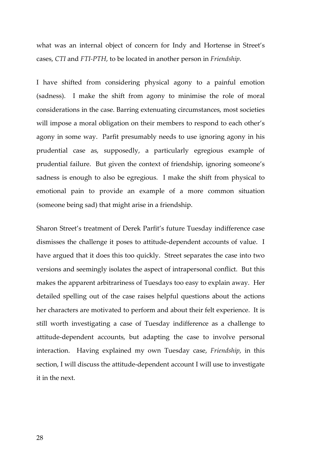what was an internal object of concern for Indy and Hortense in Street's cases, *CTI* and *FTI-PTH*, to be located in another person in *Friendship*.

I have shifted from considering physical agony to a painful emotion (sadness). I make the shift from agony to minimise the role of moral considerations in the case. Barring extenuating circumstances, most societies will impose a moral obligation on their members to respond to each other's agony in some way. Parfit presumably needs to use ignoring agony in his prudential case as, supposedly, a particularly egregious example of prudential failure. But given the context of friendship, ignoring someone's sadness is enough to also be egregious. I make the shift from physical to emotional pain to provide an example of a more common situation (someone being sad) that might arise in a friendship.

Sharon Street's treatment of Derek Parfit's future Tuesday indifference case dismisses the challenge it poses to attitude-dependent accounts of value. I have argued that it does this too quickly. Street separates the case into two versions and seemingly isolates the aspect of intrapersonal conflict. But this makes the apparent arbitrariness of Tuesdays too easy to explain away. Her detailed spelling out of the case raises helpful questions about the actions her characters are motivated to perform and about their felt experience. It is still worth investigating a case of Tuesday indifference as a challenge to attitude-dependent accounts, but adapting the case to involve personal interaction. Having explained my own Tuesday case, *Friendship*, in this section, I will discuss the attitude-dependent account I will use to investigate it in the next.

28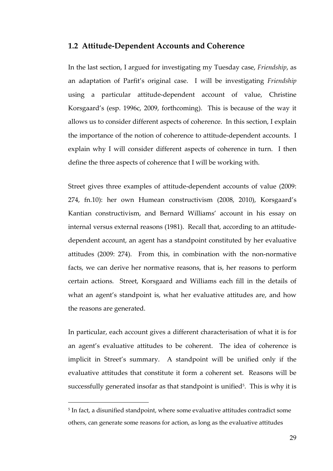#### **1.2 Attitude-Dependent Accounts and Coherence**

In the last section, I argued for investigating my Tuesday case, *Friendship*, as an adaptation of Parfit's original case. I will be investigating *Friendship*  using a particular attitude-dependent account of value, Christine Korsgaard's (esp. 1996c, 2009, forthcoming). This is because of the way it allows us to consider different aspects of coherence. In this section, I explain the importance of the notion of coherence to attitude-dependent accounts. I explain why I will consider different aspects of coherence in turn. I then define the three aspects of coherence that I will be working with.

Street gives three examples of attitude-dependent accounts of value (2009: 274, fn.10): her own Humean constructivism (2008, 2010), Korsgaard's Kantian constructivism, and Bernard Williams' account in his essay on internal versus external reasons (1981). Recall that, according to an attitudedependent account, an agent has a standpoint constituted by her evaluative attitudes (2009: 274). From this, in combination with the non-normative facts, we can derive her normative reasons, that is, her reasons to perform certain actions. Street, Korsgaard and Williams each fill in the details of what an agent's standpoint is, what her evaluative attitudes are, and how the reasons are generated.

In particular, each account gives a different characterisation of what it is for an agent's evaluative attitudes to be coherent. The idea of coherence is implicit in Street's summary. A standpoint will be unified only if the evaluative attitudes that constitute it form a coherent set. Reasons will be successfully generated insofar as that standpoint is unified<sup>5</sup>. This is why it is

-

<sup>5</sup> In fact, a disunified standpoint, where some evaluative attitudes contradict some others, can generate some reasons for action, as long as the evaluative attitudes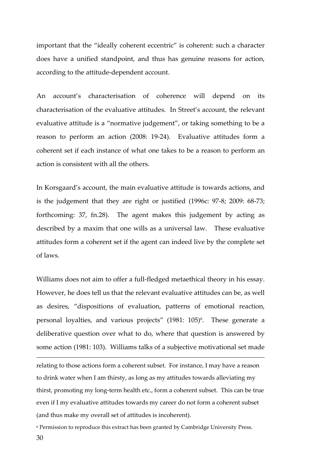important that the "ideally coherent eccentric" is coherent: such a character does have a unified standpoint, and thus has genuine reasons for action, according to the attitude-dependent account.

An account's characterisation of coherence will depend on its characterisation of the evaluative attitudes. In Street's account, the relevant evaluative attitude is a "normative judgement", or taking something to be a reason to perform an action (2008: 19-24). Evaluative attitudes form a coherent set if each instance of what one takes to be a reason to perform an action is consistent with all the others.

In Korsgaard's account, the main evaluative attitude is towards actions, and is the judgement that they are right or justified (1996c: 97-8; 2009: 68-73; forthcoming: 37, fn.28). The agent makes this judgement by acting as described by a maxim that one wills as a universal law. These evaluative attitudes form a coherent set if the agent can indeed live by the complete set of laws.

Williams does not aim to offer a full-fledged metaethical theory in his essay. However, he does tell us that the relevant evaluative attitudes can be, as well as desires, "dispositions of evaluation, patterns of emotional reaction, personal loyalties, and various projects" (1981: 105)<sup>6</sup>. These generate a deliberative question over what to do, where that question is answered by some action (1981: 103). Williams talks of a subjective motivational set made

relating to those actions form a coherent subset. For instance, I may have a reason to drink water when I am thirsty, as long as my attitudes towards alleviating my thirst, promoting my long-term health etc., form a coherent subset. This can be true even if I my evaluative attitudes towards my career do not form a coherent subset (and thus make my overall set of attitudes is incoherent).

 $\overline{a}$ 

30 6 Permission to reproduce this extract has been granted by Cambridge University Press.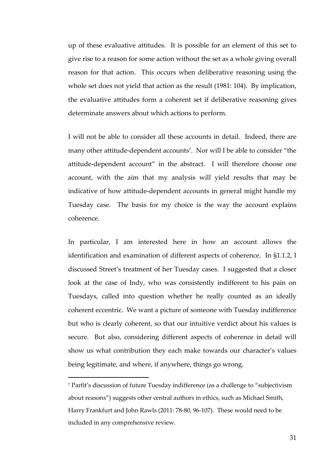up of these evaluative attitudes. It is possible for an element of this set to give rise to a reason for some action without the set as a whole giving overall reason for that action. This occurs when deliberative reasoning using the whole set does not yield that action as the result (1981: 104). By implication, the evaluative attitudes form a coherent set if deliberative reasoning gives determinate answers about which actions to perform.

I will not be able to consider all these accounts in detail. Indeed, there are many other attitude-dependent accounts<sup>7</sup> . Nor will I be able to consider "the attitude-dependent account" in the abstract. I will therefore choose one account, with the aim that my analysis will yield results that may be indicative of how attitude-dependent accounts in general might handle my Tuesday case. The basis for my choice is the way the account explains coherence.

In particular, I am interested here in how an account allows the identification and examination of different aspects of coherence. In §1.1.2, I discussed Street's treatment of her Tuesday cases. I suggested that a closer look at the case of Indy, who was consistently indifferent to his pain on Tuesdays, called into question whether he really counted as an ideally coherent eccentric. We want a picture of someone with Tuesday indifference but who is clearly coherent, so that our intuitive verdict about his values is secure. But also, considering different aspects of coherence in detail will show us what contribution they each make towards our character's values being legitimate, and where, if anywhere, things go wrong.

-

<sup>7</sup> Parfit's discussion of future Tuesday indifference (as a challenge to "subjectivism about reasons") suggests other central authors in ethics, such as Michael Smith, Harry Frankfurt and John Rawls (2011: 78-80, 96-107). These would need to be included in any comprehensive review.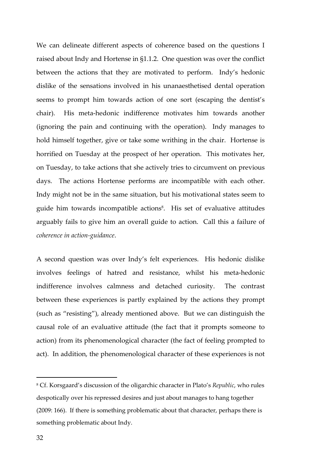We can delineate different aspects of coherence based on the questions I raised about Indy and Hortense in §1.1.2. One question was over the conflict between the actions that they are motivated to perform. Indy's hedonic dislike of the sensations involved in his unanaesthetised dental operation seems to prompt him towards action of one sort (escaping the dentist's chair). His meta-hedonic indifference motivates him towards another (ignoring the pain and continuing with the operation). Indy manages to hold himself together, give or take some writhing in the chair. Hortense is horrified on Tuesday at the prospect of her operation. This motivates her, on Tuesday, to take actions that she actively tries to circumvent on previous days. The actions Hortense performs are incompatible with each other. Indy might not be in the same situation, but his motivational states seem to guide him towards incompatible actions<sup>8</sup>. His set of evaluative attitudes arguably fails to give him an overall guide to action. Call this a failure of *coherence in action-guidance*.

A second question was over Indy's felt experiences. His hedonic dislike involves feelings of hatred and resistance, whilst his meta-hedonic indifference involves calmness and detached curiosity. The contrast between these experiences is partly explained by the actions they prompt (such as "resisting"), already mentioned above. But we can distinguish the causal role of an evaluative attitude (the fact that it prompts someone to action) from its phenomenological character (the fact of feeling prompted to act). In addition, the phenomenological character of these experiences is not

 $\overline{a}$ 

<sup>8</sup> Cf. Korsgaard's discussion of the oligarchic character in Plato's *Republic*, who rules despotically over his repressed desires and just about manages to hang together (2009: 166). If there is something problematic about that character, perhaps there is something problematic about Indy.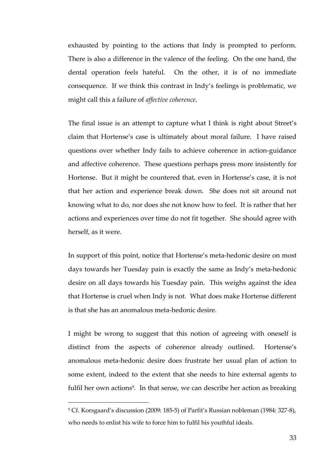exhausted by pointing to the actions that Indy is prompted to perform. There is also a difference in the valence of the feeling. On the one hand, the dental operation feels hateful. On the other, it is of no immediate consequence. If we think this contrast in Indy's feelings is problematic, we might call this a failure of *affective coherence*.

The final issue is an attempt to capture what I think is right about Street's claim that Hortense's case is ultimately about moral failure. I have raised questions over whether Indy fails to achieve coherence in action-guidance and affective coherence. These questions perhaps press more insistently for Hortense. But it might be countered that, even in Hortense's case, it is not that her action and experience break down. She does not sit around not knowing what to do, nor does she not know how to feel. It is rather that her actions and experiences over time do not fit together. She should agree with herself, as it were.

In support of this point, notice that Hortense's meta-hedonic desire on most days towards her Tuesday pain is exactly the same as Indy's meta-hedonic desire on all days towards his Tuesday pain. This weighs against the idea that Hortense is cruel when Indy is not. What does make Hortense different is that she has an anomalous meta-hedonic desire.

I might be wrong to suggest that this notion of agreeing with oneself is distinct from the aspects of coherence already outlined. Hortense's anomalous meta-hedonic desire does frustrate her usual plan of action to some extent, indeed to the extent that she needs to hire external agents to fulfil her own actions<sup>9</sup>. In that sense, we can describe her action as breaking

-

<sup>9</sup> Cf. Korsgaard's discussion (2009: 185-5) of Parfit's Russian nobleman (1984: 327-8), who needs to enlist his wife to force him to fulfil his youthful ideals.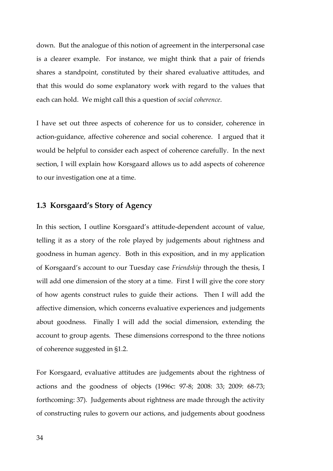down. But the analogue of this notion of agreement in the interpersonal case is a clearer example. For instance, we might think that a pair of friends shares a standpoint, constituted by their shared evaluative attitudes, and that this would do some explanatory work with regard to the values that each can hold. We might call this a question of *social coherence*.

I have set out three aspects of coherence for us to consider, coherence in action-guidance, affective coherence and social coherence. I argued that it would be helpful to consider each aspect of coherence carefully. In the next section, I will explain how Korsgaard allows us to add aspects of coherence to our investigation one at a time.

#### **1.3 Korsgaard's Story of Agency**

In this section, I outline Korsgaard's attitude-dependent account of value, telling it as a story of the role played by judgements about rightness and goodness in human agency. Both in this exposition, and in my application of Korsgaard's account to our Tuesday case *Friendship* through the thesis, I will add one dimension of the story at a time. First I will give the core story of how agents construct rules to guide their actions. Then I will add the affective dimension, which concerns evaluative experiences and judgements about goodness. Finally I will add the social dimension, extending the account to group agents. These dimensions correspond to the three notions of coherence suggested in §1.2.

For Korsgaard, evaluative attitudes are judgements about the rightness of actions and the goodness of objects (1996c: 97-8; 2008: 33; 2009: 68-73; forthcoming: 37). Judgements about rightness are made through the activity of constructing rules to govern our actions, and judgements about goodness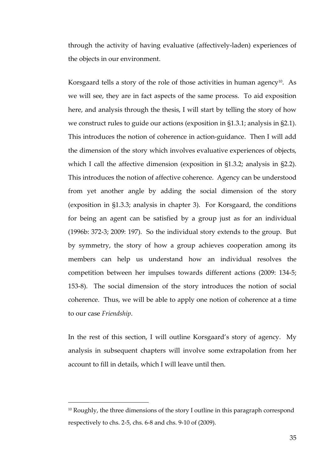through the activity of having evaluative (affectively-laden) experiences of the objects in our environment.

Korsgaard tells a story of the role of those activities in human agency<sup>10</sup>. As we will see, they are in fact aspects of the same process. To aid exposition here, and analysis through the thesis, I will start by telling the story of how we construct rules to guide our actions (exposition in §1.3.1; analysis in §2.1). This introduces the notion of coherence in action-guidance. Then I will add the dimension of the story which involves evaluative experiences of objects, which I call the affective dimension (exposition in §1.3.2; analysis in §2.2). This introduces the notion of affective coherence. Agency can be understood from yet another angle by adding the social dimension of the story (exposition in §1.3.3; analysis in chapter 3). For Korsgaard, the conditions for being an agent can be satisfied by a group just as for an individual (1996b: 372-3; 2009: 197). So the individual story extends to the group. But by symmetry, the story of how a group achieves cooperation among its members can help us understand how an individual resolves the competition between her impulses towards different actions (2009: 134-5; 153-8). The social dimension of the story introduces the notion of social coherence. Thus, we will be able to apply one notion of coherence at a time to our case *Friendship*.

In the rest of this section, I will outline Korsgaard's story of agency. My analysis in subsequent chapters will involve some extrapolation from her account to fill in details, which I will leave until then.

-

<sup>&</sup>lt;sup>10</sup> Roughly, the three dimensions of the story I outline in this paragraph correspond respectively to chs. 2-5, chs. 6-8 and chs. 9-10 of (2009).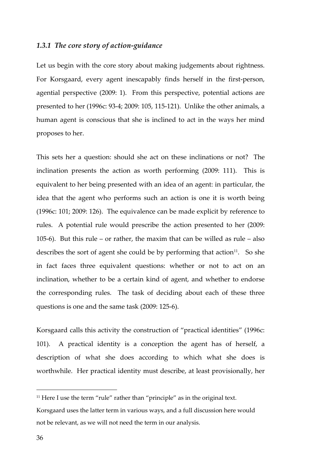#### *1.3.1 The core story of action-guidance*

Let us begin with the core story about making judgements about rightness. For Korsgaard, every agent inescapably finds herself in the first-person, agential perspective (2009: 1). From this perspective, potential actions are presented to her (1996c: 93-4; 2009: 105, 115-121). Unlike the other animals, a human agent is conscious that she is inclined to act in the ways her mind proposes to her.

This sets her a question: should she act on these inclinations or not? The inclination presents the action as worth performing (2009: 111). This is equivalent to her being presented with an idea of an agent: in particular, the idea that the agent who performs such an action is one it is worth being (1996c: 101; 2009: 126). The equivalence can be made explicit by reference to rules. A potential rule would prescribe the action presented to her (2009: 105-6). But this rule – or rather, the maxim that can be willed as rule – also describes the sort of agent she could be by performing that action<sup>11</sup>. So she in fact faces three equivalent questions: whether or not to act on an inclination, whether to be a certain kind of agent, and whether to endorse the corresponding rules. The task of deciding about each of these three questions is one and the same task (2009: 125-6).

Korsgaard calls this activity the construction of "practical identities" (1996c: 101). A practical identity is a conception the agent has of herself, a description of what she does according to which what she does is worthwhile. Her practical identity must describe, at least provisionally, her

 $\overline{a}$ 

 $11$  Here I use the term "rule" rather than "principle" as in the original text.

Korsgaard uses the latter term in various ways, and a full discussion here would not be relevant, as we will not need the term in our analysis.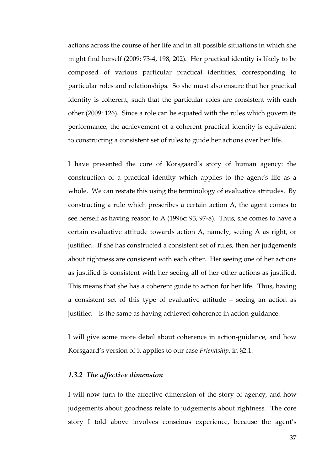actions across the course of her life and in all possible situations in which she might find herself (2009: 73-4, 198, 202). Her practical identity is likely to be composed of various particular practical identities, corresponding to particular roles and relationships. So she must also ensure that her practical identity is coherent, such that the particular roles are consistent with each other (2009: 126). Since a role can be equated with the rules which govern its performance, the achievement of a coherent practical identity is equivalent to constructing a consistent set of rules to guide her actions over her life.

I have presented the core of Korsgaard's story of human agency: the construction of a practical identity which applies to the agent's life as a whole. We can restate this using the terminology of evaluative attitudes. By constructing a rule which prescribes a certain action A, the agent comes to see herself as having reason to A (1996c: 93, 97-8). Thus, she comes to have a certain evaluative attitude towards action A, namely, seeing A as right, or justified. If she has constructed a consistent set of rules, then her judgements about rightness are consistent with each other. Her seeing one of her actions as justified is consistent with her seeing all of her other actions as justified. This means that she has a coherent guide to action for her life. Thus, having a consistent set of this type of evaluative attitude – seeing an action as justified – is the same as having achieved coherence in action-guidance.

I will give some more detail about coherence in action-guidance, and how Korsgaard's version of it applies to our case *Friendship*, in §2.1.

#### *1.3.2 The affective dimension*

I will now turn to the affective dimension of the story of agency, and how judgements about goodness relate to judgements about rightness. The core story I told above involves conscious experience, because the agent's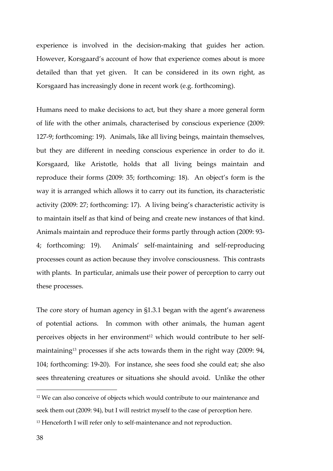experience is involved in the decision-making that guides her action. However, Korsgaard's account of how that experience comes about is more detailed than that yet given. It can be considered in its own right, as Korsgaard has increasingly done in recent work (e.g. forthcoming).

Humans need to make decisions to act, but they share a more general form of life with the other animals, characterised by conscious experience (2009: 127-9; forthcoming: 19). Animals, like all living beings, maintain themselves, but they are different in needing conscious experience in order to do it. Korsgaard, like Aristotle, holds that all living beings maintain and reproduce their forms (2009: 35; forthcoming: 18). An object's form is the way it is arranged which allows it to carry out its function, its characteristic activity (2009: 27; forthcoming: 17). A living being's characteristic activity is to maintain itself as that kind of being and create new instances of that kind. Animals maintain and reproduce their forms partly through action (2009: 93- 4; forthcoming: 19). Animals' self-maintaining and self-reproducing processes count as action because they involve consciousness. This contrasts with plants. In particular, animals use their power of perception to carry out these processes.

The core story of human agency in §1.3.1 began with the agent's awareness of potential actions. In common with other animals, the human agent perceives objects in her environment<sup>12</sup> which would contribute to her selfmaintaining<sup>13</sup> processes if she acts towards them in the right way (2009: 94, 104; forthcoming: 19-20). For instance, she sees food she could eat; she also sees threatening creatures or situations she should avoid. Unlike the other

 $\overline{a}$ 

<sup>&</sup>lt;sup>12</sup> We can also conceive of objects which would contribute to our maintenance and seek them out (2009: 94), but I will restrict myself to the case of perception here.

<sup>&</sup>lt;sup>13</sup> Henceforth I will refer only to self-maintenance and not reproduction.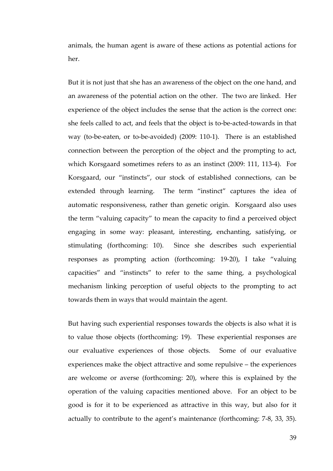animals, the human agent is aware of these actions as potential actions for her.

But it is not just that she has an awareness of the object on the one hand, and an awareness of the potential action on the other. The two are linked. Her experience of the object includes the sense that the action is the correct one: she feels called to act, and feels that the object is to-be-acted-towards in that way (to-be-eaten, or to-be-avoided) (2009: 110-1). There is an established connection between the perception of the object and the prompting to act, which Korsgaard sometimes refers to as an instinct (2009: 111, 113-4). For Korsgaard, our "instincts", our stock of established connections, can be extended through learning. The term "instinct" captures the idea of automatic responsiveness, rather than genetic origin. Korsgaard also uses the term "valuing capacity" to mean the capacity to find a perceived object engaging in some way: pleasant, interesting, enchanting, satisfying, or stimulating (forthcoming: 10). Since she describes such experiential responses as prompting action (forthcoming: 19-20), I take "valuing capacities" and "instincts" to refer to the same thing, a psychological mechanism linking perception of useful objects to the prompting to act towards them in ways that would maintain the agent.

But having such experiential responses towards the objects is also what it is to value those objects (forthcoming: 19). These experiential responses are our evaluative experiences of those objects. Some of our evaluative experiences make the object attractive and some repulsive – the experiences are welcome or averse (forthcoming: 20), where this is explained by the operation of the valuing capacities mentioned above. For an object to be good is for it to be experienced as attractive in this way, but also for it actually to contribute to the agent's maintenance (forthcoming: 7-8, 33, 35).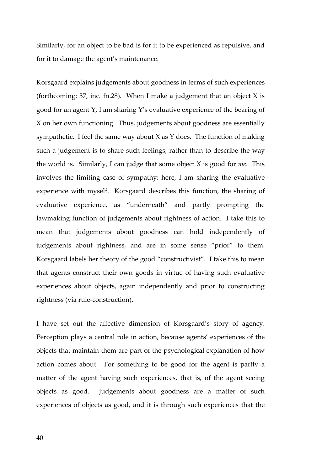Similarly, for an object to be bad is for it to be experienced as repulsive, and for it to damage the agent's maintenance.

Korsgaard explains judgements about goodness in terms of such experiences (forthcoming:  $37$ , inc. fn.28). When I make a judgement that an object X is good for an agent Y, I am sharing Y's evaluative experience of the bearing of X on her own functioning. Thus, judgements about goodness are essentially sympathetic. I feel the same way about X as Y does. The function of making such a judgement is to share such feelings, rather than to describe the way the world is. Similarly, I can judge that some object X is good for *me*. This involves the limiting case of sympathy: here, I am sharing the evaluative experience with myself. Korsgaard describes this function, the sharing of evaluative experience, as "underneath" and partly prompting the lawmaking function of judgements about rightness of action. I take this to mean that judgements about goodness can hold independently of judgements about rightness, and are in some sense "prior" to them. Korsgaard labels her theory of the good "constructivist". I take this to mean that agents construct their own goods in virtue of having such evaluative experiences about objects, again independently and prior to constructing rightness (via rule-construction).

I have set out the affective dimension of Korsgaard's story of agency. Perception plays a central role in action, because agents' experiences of the objects that maintain them are part of the psychological explanation of how action comes about. For something to be good for the agent is partly a matter of the agent having such experiences, that is, of the agent seeing objects as good. Judgements about goodness are a matter of such experiences of objects as good, and it is through such experiences that the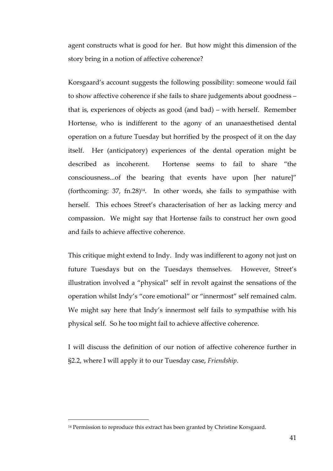agent constructs what is good for her. But how might this dimension of the story bring in a notion of affective coherence?

Korsgaard's account suggests the following possibility: someone would fail to show affective coherence if she fails to share judgements about goodness – that is, experiences of objects as good (and bad) – with herself. Remember Hortense, who is indifferent to the agony of an unanaesthetised dental operation on a future Tuesday but horrified by the prospect of it on the day itself. Her (anticipatory) experiences of the dental operation might be described as incoherent. Hortense seems to fail to share "the consciousness...of the bearing that events have upon [her nature]" (forthcoming:  $37$ , fn.28)<sup>14</sup>. In other words, she fails to sympathise with herself. This echoes Street's characterisation of her as lacking mercy and compassion. We might say that Hortense fails to construct her own good and fails to achieve affective coherence.

This critique might extend to Indy. Indy was indifferent to agony not just on future Tuesdays but on the Tuesdays themselves. However, Street's illustration involved a "physical" self in revolt against the sensations of the operation whilst Indy's "core emotional" or "innermost" self remained calm. We might say here that Indy's innermost self fails to sympathise with his physical self. So he too might fail to achieve affective coherence.

I will discuss the definition of our notion of affective coherence further in §2.2, where I will apply it to our Tuesday case, *Friendship*.

-

<sup>&</sup>lt;sup>14</sup> Permission to reproduce this extract has been granted by Christine Korsgaard.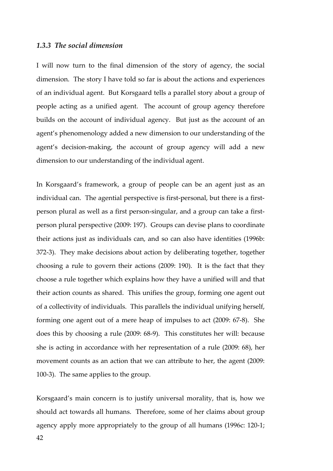#### *1.3.3 The social dimension*

I will now turn to the final dimension of the story of agency, the social dimension. The story I have told so far is about the actions and experiences of an individual agent. But Korsgaard tells a parallel story about a group of people acting as a unified agent. The account of group agency therefore builds on the account of individual agency. But just as the account of an agent's phenomenology added a new dimension to our understanding of the agent's decision-making, the account of group agency will add a new dimension to our understanding of the individual agent.

In Korsgaard's framework, a group of people can be an agent just as an individual can. The agential perspective is first-personal, but there is a firstperson plural as well as a first person-singular, and a group can take a firstperson plural perspective (2009: 197). Groups can devise plans to coordinate their actions just as individuals can, and so can also have identities (1996b: 372-3). They make decisions about action by deliberating together, together choosing a rule to govern their actions (2009: 190). It is the fact that they choose a rule together which explains how they have a unified will and that their action counts as shared. This unifies the group, forming one agent out of a collectivity of individuals. This parallels the individual unifying herself, forming one agent out of a mere heap of impulses to act (2009: 67-8). She does this by choosing a rule (2009: 68-9). This constitutes her will: because she is acting in accordance with her representation of a rule (2009: 68), her movement counts as an action that we can attribute to her, the agent (2009: 100-3). The same applies to the group.

Korsgaard's main concern is to justify universal morality, that is, how we should act towards all humans. Therefore, some of her claims about group agency apply more appropriately to the group of all humans (1996c: 120-1;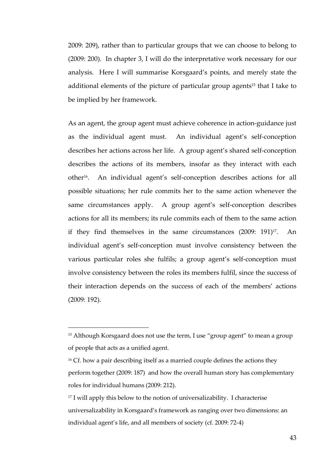2009: 209), rather than to particular groups that we can choose to belong to (2009: 200). In chapter 3, I will do the interpretative work necessary for our analysis. Here I will summarise Korsgaard's points, and merely state the additional elements of the picture of particular group agents<sup>15</sup> that I take to be implied by her framework.

As an agent, the group agent must achieve coherence in action-guidance just as the individual agent must. An individual agent's self-conception describes her actions across her life. A group agent's shared self-conception describes the actions of its members, insofar as they interact with each other16. An individual agent's self-conception describes actions for all possible situations; her rule commits her to the same action whenever the same circumstances apply. A group agent's self-conception describes actions for all its members; its rule commits each of them to the same action if they find themselves in the same circumstances  $(2009: 191)^{17}$ . An individual agent's self-conception must involve consistency between the various particular roles she fulfils; a group agent's self-conception must involve consistency between the roles its members fulfil, since the success of their interaction depends on the success of each of the members' actions (2009: 192).

-

<sup>&</sup>lt;sup>15</sup> Although Korsgaard does not use the term, I use "group agent" to mean a group of people that acts as a unified agent.

<sup>&</sup>lt;sup>16</sup> Cf. how a pair describing itself as a married couple defines the actions they perform together (2009: 187) and how the overall human story has complementary roles for individual humans (2009: 212).

<sup>&</sup>lt;sup>17</sup> I will apply this below to the notion of universalizability. I characterise universalizability in Korsgaard's framework as ranging over two dimensions: an individual agent's life, and all members of society (cf. 2009: 72-4)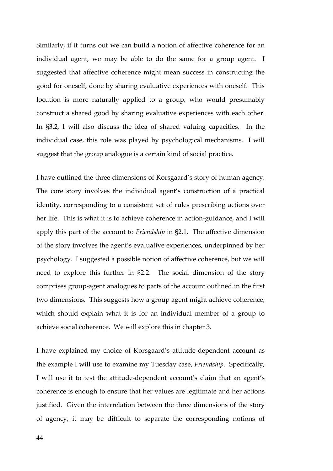Similarly, if it turns out we can build a notion of affective coherence for an individual agent, we may be able to do the same for a group agent. I suggested that affective coherence might mean success in constructing the good for oneself, done by sharing evaluative experiences with oneself. This locution is more naturally applied to a group, who would presumably construct a shared good by sharing evaluative experiences with each other. In §3.2, I will also discuss the idea of shared valuing capacities. In the individual case, this role was played by psychological mechanisms. I will suggest that the group analogue is a certain kind of social practice.

I have outlined the three dimensions of Korsgaard's story of human agency. The core story involves the individual agent's construction of a practical identity, corresponding to a consistent set of rules prescribing actions over her life. This is what it is to achieve coherence in action-guidance, and I will apply this part of the account to *Friendship* in §2.1. The affective dimension of the story involves the agent's evaluative experiences, underpinned by her psychology. I suggested a possible notion of affective coherence, but we will need to explore this further in §2.2. The social dimension of the story comprises group-agent analogues to parts of the account outlined in the first two dimensions. This suggests how a group agent might achieve coherence, which should explain what it is for an individual member of a group to achieve social coherence. We will explore this in chapter 3.

I have explained my choice of Korsgaard's attitude-dependent account as the example I will use to examine my Tuesday case, *Friendship*. Specifically, I will use it to test the attitude-dependent account's claim that an agent's coherence is enough to ensure that her values are legitimate and her actions justified. Given the interrelation between the three dimensions of the story of agency, it may be difficult to separate the corresponding notions of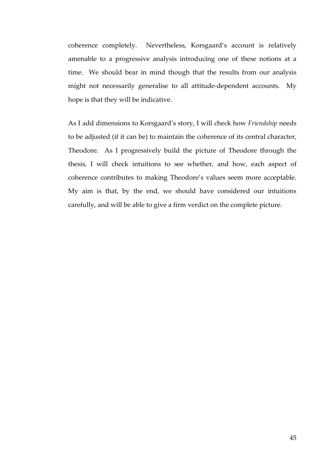coherence completely. Nevertheless, Korsgaard's account is relatively amenable to a progressive analysis introducing one of these notions at a time. We should bear in mind though that the results from our analysis might not necessarily generalise to all attitude-dependent accounts. My hope is that they will be indicative.

As I add dimensions to Korsgaard's story, I will check how *Friendship* needs to be adjusted (if it can be) to maintain the coherence of its central character, Theodore. As I progressively build the picture of Theodore through the thesis, I will check intuitions to see whether, and how, each aspect of coherence contributes to making Theodore's values seem more acceptable. My aim is that, by the end, we should have considered our intuitions carefully, and will be able to give a firm verdict on the complete picture.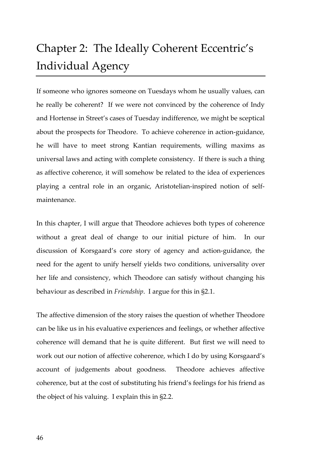# Chapter 2: The Ideally Coherent Eccentric's Individual Agency

If someone who ignores someone on Tuesdays whom he usually values, can he really be coherent? If we were not convinced by the coherence of Indy and Hortense in Street's cases of Tuesday indifference, we might be sceptical about the prospects for Theodore. To achieve coherence in action-guidance, he will have to meet strong Kantian requirements, willing maxims as universal laws and acting with complete consistency. If there is such a thing as affective coherence, it will somehow be related to the idea of experiences playing a central role in an organic, Aristotelian-inspired notion of selfmaintenance.

In this chapter, I will argue that Theodore achieves both types of coherence without a great deal of change to our initial picture of him. In our discussion of Korsgaard's core story of agency and action-guidance, the need for the agent to unify herself yields two conditions, universality over her life and consistency, which Theodore can satisfy without changing his behaviour as described in *Friendship*. I argue for this in §2.1.

The affective dimension of the story raises the question of whether Theodore can be like us in his evaluative experiences and feelings, or whether affective coherence will demand that he is quite different. But first we will need to work out our notion of affective coherence, which I do by using Korsgaard's account of judgements about goodness. Theodore achieves affective coherence, but at the cost of substituting his friend's feelings for his friend as the object of his valuing. I explain this in §2.2.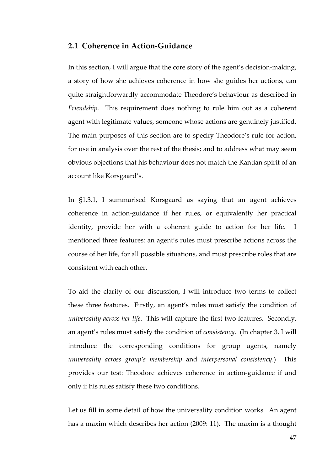## **2.1 Coherence in Action-Guidance**

In this section, I will argue that the core story of the agent's decision-making, a story of how she achieves coherence in how she guides her actions, can quite straightforwardly accommodate Theodore's behaviour as described in *Friendship*. This requirement does nothing to rule him out as a coherent agent with legitimate values, someone whose actions are genuinely justified. The main purposes of this section are to specify Theodore's rule for action, for use in analysis over the rest of the thesis; and to address what may seem obvious objections that his behaviour does not match the Kantian spirit of an account like Korsgaard's.

In §1.3.1, I summarised Korsgaard as saying that an agent achieves coherence in action-guidance if her rules, or equivalently her practical identity, provide her with a coherent guide to action for her life. I mentioned three features: an agent's rules must prescribe actions across the course of her life, for all possible situations, and must prescribe roles that are consistent with each other.

To aid the clarity of our discussion, I will introduce two terms to collect these three features. Firstly, an agent's rules must satisfy the condition of *universality across her life*. This will capture the first two features. Secondly, an agent's rules must satisfy the condition of *consistency*. (In chapter 3, I will introduce the corresponding conditions for group agents, namely *universality across group's membership* and *interpersonal consistency*.) This provides our test: Theodore achieves coherence in action-guidance if and only if his rules satisfy these two conditions.

Let us fill in some detail of how the universality condition works. An agent has a maxim which describes her action (2009: 11). The maxim is a thought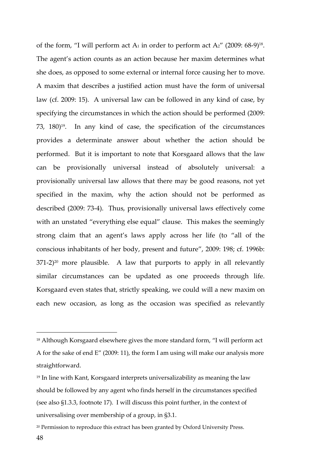of the form, "I will perform act A<sub>1</sub> in order to perform act A<sub>2</sub>" (2009: 68-9)<sup>18</sup>. The agent's action counts as an action because her maxim determines what she does, as opposed to some external or internal force causing her to move. A maxim that describes a justified action must have the form of universal law (cf. 2009: 15). A universal law can be followed in any kind of case, by specifying the circumstances in which the action should be performed (2009: 73, 180)19. In any kind of case, the specification of the circumstances provides a determinate answer about whether the action should be performed. But it is important to note that Korsgaard allows that the law can be provisionally universal instead of absolutely universal: a provisionally universal law allows that there may be good reasons, not yet specified in the maxim, why the action should not be performed as described (2009: 73-4). Thus, provisionally universal laws effectively come with an unstated "everything else equal" clause. This makes the seemingly strong claim that an agent's laws apply across her life (to "all of the conscious inhabitants of her body, present and future", 2009: 198; cf. 1996b:  $371-2$ <sup>20</sup> more plausible. A law that purports to apply in all relevantly similar circumstances can be updated as one proceeds through life. Korsgaard even states that, strictly speaking, we could will a new maxim on each new occasion, as long as the occasion was specified as relevantly

 $\overline{a}$ 

<sup>&</sup>lt;sup>18</sup> Although Korsgaard elsewhere gives the more standard form, "I will perform act A for the sake of end E" (2009: 11), the form I am using will make our analysis more straightforward.

<sup>&</sup>lt;sup>19</sup> In line with Kant, Korsgaard interprets universalizability as meaning the law should be followed by any agent who finds herself in the circumstances specified (see also §1.3.3, footnote 17). I will discuss this point further, in the context of universalising over membership of a group, in §3.1.

<sup>&</sup>lt;sup>20</sup> Permission to reproduce this extract has been granted by Oxford University Press.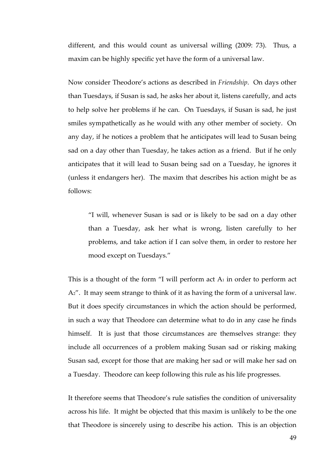different, and this would count as universal willing (2009: 73). Thus, a maxim can be highly specific yet have the form of a universal law.

Now consider Theodore's actions as described in *Friendship*. On days other than Tuesdays, if Susan is sad, he asks her about it, listens carefully, and acts to help solve her problems if he can. On Tuesdays, if Susan is sad, he just smiles sympathetically as he would with any other member of society. On any day, if he notices a problem that he anticipates will lead to Susan being sad on a day other than Tuesday, he takes action as a friend. But if he only anticipates that it will lead to Susan being sad on a Tuesday, he ignores it (unless it endangers her). The maxim that describes his action might be as follows:

"I will, whenever Susan is sad or is likely to be sad on a day other than a Tuesday, ask her what is wrong, listen carefully to her problems, and take action if I can solve them, in order to restore her mood except on Tuesdays."

This is a thought of the form "I will perform act  $A_1$  in order to perform act A2". It may seem strange to think of it as having the form of a universal law. But it does specify circumstances in which the action should be performed, in such a way that Theodore can determine what to do in any case he finds himself. It is just that those circumstances are themselves strange: they include all occurrences of a problem making Susan sad or risking making Susan sad, except for those that are making her sad or will make her sad on a Tuesday. Theodore can keep following this rule as his life progresses.

It therefore seems that Theodore's rule satisfies the condition of universality across his life. It might be objected that this maxim is unlikely to be the one that Theodore is sincerely using to describe his action. This is an objection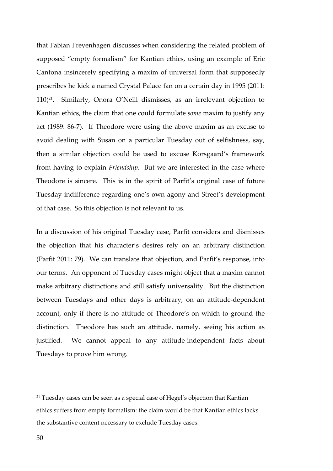that Fabian Freyenhagen discusses when considering the related problem of supposed "empty formalism" for Kantian ethics, using an example of Eric Cantona insincerely specifying a maxim of universal form that supposedly prescribes he kick a named Crystal Palace fan on a certain day in 1995 (2011: 110)21. Similarly, Onora O'Neill dismisses, as an irrelevant objection to Kantian ethics, the claim that one could formulate *some* maxim to justify any act (1989: 86-7). If Theodore were using the above maxim as an excuse to avoid dealing with Susan on a particular Tuesday out of selfishness, say, then a similar objection could be used to excuse Korsgaard's framework from having to explain *Friendship*. But we are interested in the case where Theodore is sincere. This is in the spirit of Parfit's original case of future Tuesday indifference regarding one's own agony and Street's development of that case. So this objection is not relevant to us.

In a discussion of his original Tuesday case, Parfit considers and dismisses the objection that his character's desires rely on an arbitrary distinction (Parfit 2011: 79). We can translate that objection, and Parfit's response, into our terms. An opponent of Tuesday cases might object that a maxim cannot make arbitrary distinctions and still satisfy universality. But the distinction between Tuesdays and other days is arbitrary, on an attitude-dependent account, only if there is no attitude of Theodore's on which to ground the distinction. Theodore has such an attitude, namely, seeing his action as justified. We cannot appeal to any attitude-independent facts about Tuesdays to prove him wrong.

 $\overline{a}$ 

<sup>&</sup>lt;sup>21</sup> Tuesday cases can be seen as a special case of Hegel's objection that Kantian ethics suffers from empty formalism: the claim would be that Kantian ethics lacks the substantive content necessary to exclude Tuesday cases.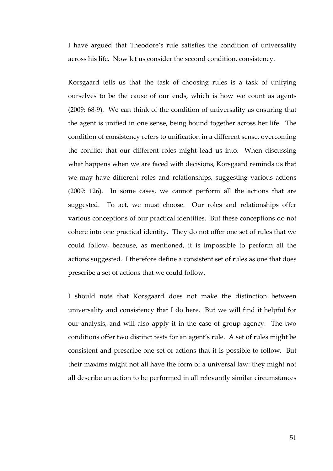I have argued that Theodore's rule satisfies the condition of universality across his life. Now let us consider the second condition, consistency.

Korsgaard tells us that the task of choosing rules is a task of unifying ourselves to be the cause of our ends, which is how we count as agents (2009: 68-9). We can think of the condition of universality as ensuring that the agent is unified in one sense, being bound together across her life. The condition of consistency refers to unification in a different sense, overcoming the conflict that our different roles might lead us into. When discussing what happens when we are faced with decisions, Korsgaard reminds us that we may have different roles and relationships, suggesting various actions (2009: 126). In some cases, we cannot perform all the actions that are suggested. To act, we must choose. Our roles and relationships offer various conceptions of our practical identities. But these conceptions do not cohere into one practical identity. They do not offer one set of rules that we could follow, because, as mentioned, it is impossible to perform all the actions suggested. I therefore define a consistent set of rules as one that does prescribe a set of actions that we could follow.

I should note that Korsgaard does not make the distinction between universality and consistency that I do here. But we will find it helpful for our analysis, and will also apply it in the case of group agency. The two conditions offer two distinct tests for an agent's rule. A set of rules might be consistent and prescribe one set of actions that it is possible to follow. But their maxims might not all have the form of a universal law: they might not all describe an action to be performed in all relevantly similar circumstances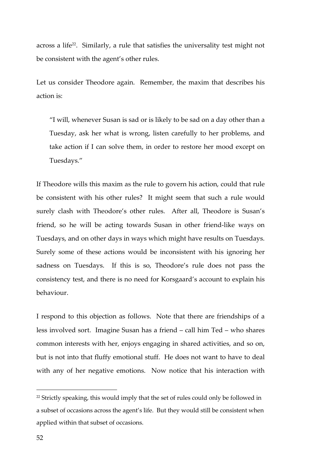across a life<sup>22</sup>. Similarly, a rule that satisfies the universality test might not be consistent with the agent's other rules.

Let us consider Theodore again. Remember, the maxim that describes his action is:

"I will, whenever Susan is sad or is likely to be sad on a day other than a Tuesday, ask her what is wrong, listen carefully to her problems, and take action if I can solve them, in order to restore her mood except on Tuesdays."

If Theodore wills this maxim as the rule to govern his action, could that rule be consistent with his other rules? It might seem that such a rule would surely clash with Theodore's other rules. After all, Theodore is Susan's friend, so he will be acting towards Susan in other friend-like ways on Tuesdays, and on other days in ways which might have results on Tuesdays. Surely some of these actions would be inconsistent with his ignoring her sadness on Tuesdays. If this is so, Theodore's rule does not pass the consistency test, and there is no need for Korsgaard's account to explain his behaviour.

I respond to this objection as follows. Note that there are friendships of a less involved sort. Imagine Susan has a friend – call him Ted – who shares common interests with her, enjoys engaging in shared activities, and so on, but is not into that fluffy emotional stuff. He does not want to have to deal with any of her negative emotions. Now notice that his interaction with

 $\overline{a}$ 

<sup>&</sup>lt;sup>22</sup> Strictly speaking, this would imply that the set of rules could only be followed in a subset of occasions across the agent's life. But they would still be consistent when applied within that subset of occasions.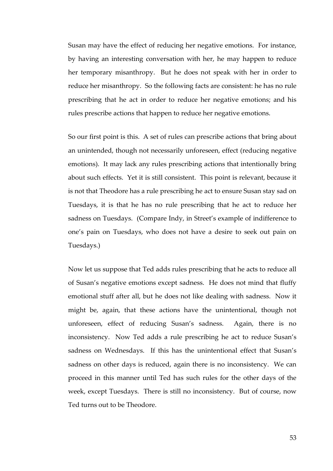Susan may have the effect of reducing her negative emotions. For instance, by having an interesting conversation with her, he may happen to reduce her temporary misanthropy. But he does not speak with her in order to reduce her misanthropy. So the following facts are consistent: he has no rule prescribing that he act in order to reduce her negative emotions; and his rules prescribe actions that happen to reduce her negative emotions.

So our first point is this. A set of rules can prescribe actions that bring about an unintended, though not necessarily unforeseen, effect (reducing negative emotions). It may lack any rules prescribing actions that intentionally bring about such effects. Yet it is still consistent. This point is relevant, because it is not that Theodore has a rule prescribing he act to ensure Susan stay sad on Tuesdays, it is that he has no rule prescribing that he act to reduce her sadness on Tuesdays. (Compare Indy, in Street's example of indifference to one's pain on Tuesdays, who does not have a desire to seek out pain on Tuesdays.)

Now let us suppose that Ted adds rules prescribing that he acts to reduce all of Susan's negative emotions except sadness. He does not mind that fluffy emotional stuff after all, but he does not like dealing with sadness. Now it might be, again, that these actions have the unintentional, though not unforeseen, effect of reducing Susan's sadness. Again, there is no inconsistency. Now Ted adds a rule prescribing he act to reduce Susan's sadness on Wednesdays. If this has the unintentional effect that Susan's sadness on other days is reduced, again there is no inconsistency. We can proceed in this manner until Ted has such rules for the other days of the week, except Tuesdays. There is still no inconsistency. But of course, now Ted turns out to be Theodore.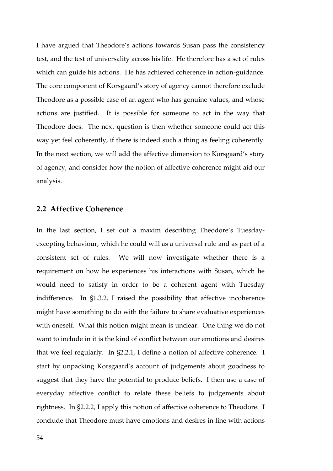I have argued that Theodore's actions towards Susan pass the consistency test, and the test of universality across his life. He therefore has a set of rules which can guide his actions. He has achieved coherence in action-guidance. The core component of Korsgaard's story of agency cannot therefore exclude Theodore as a possible case of an agent who has genuine values, and whose actions are justified. It is possible for someone to act in the way that Theodore does. The next question is then whether someone could act this way yet feel coherently, if there is indeed such a thing as feeling coherently. In the next section, we will add the affective dimension to Korsgaard's story of agency, and consider how the notion of affective coherence might aid our analysis.

## **2.2 Affective Coherence**

In the last section, I set out a maxim describing Theodore's Tuesdayexcepting behaviour, which he could will as a universal rule and as part of a consistent set of rules. We will now investigate whether there is a requirement on how he experiences his interactions with Susan, which he would need to satisfy in order to be a coherent agent with Tuesday indifference. In §1.3.2, I raised the possibility that affective incoherence might have something to do with the failure to share evaluative experiences with oneself. What this notion might mean is unclear. One thing we do not want to include in it is the kind of conflict between our emotions and desires that we feel regularly. In §2.2.1, I define a notion of affective coherence. I start by unpacking Korsgaard's account of judgements about goodness to suggest that they have the potential to produce beliefs. I then use a case of everyday affective conflict to relate these beliefs to judgements about rightness. In §2.2.2, I apply this notion of affective coherence to Theodore. I conclude that Theodore must have emotions and desires in line with actions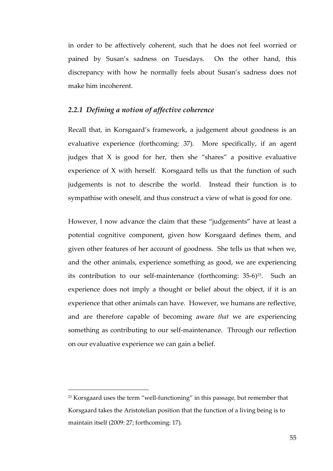in order to be affectively coherent, such that he does not feel worried or pained by Susan's sadness on Tuesdays. On the other hand, this discrepancy with how he normally feels about Susan's sadness does not make him incoherent.

#### *2.2.1 Defining a notion of affective coherence*

Recall that, in Korsgaard's framework, a judgement about goodness is an evaluative experience (forthcoming: 37). More specifically, if an agent judges that  $X$  is good for her, then she "shares" a positive evaluative experience of X with herself. Korsgaard tells us that the function of such judgements is not to describe the world. Instead their function is to sympathise with oneself, and thus construct a view of what is good for one.

However, I now advance the claim that these "judgements" have at least a potential cognitive component, given how Korsgaard defines them, and given other features of her account of goodness. She tells us that when we, and the other animals, experience something as good, we are experiencing its contribution to our self-maintenance (forthcoming:  $35-6$ )<sup>23</sup>. Such an experience does not imply a thought or belief about the object, if it is an experience that other animals can have. However, we humans are reflective, and are therefore capable of becoming aware *that* we are experiencing something as contributing to our self-maintenance. Through our reflection on our evaluative experience we can gain a belief.

-

 $23$  Korsgaard uses the term "well-functioning" in this passage, but remember that Korsgaard takes the Aristotelian position that the function of a living being is to maintain itself (2009: 27; forthcoming: 17).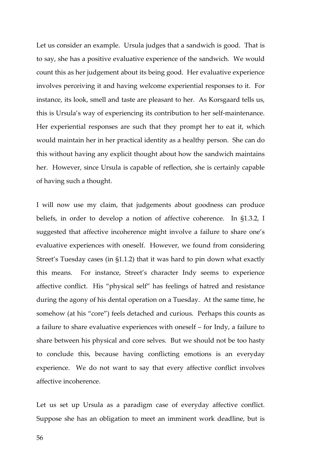Let us consider an example. Ursula judges that a sandwich is good. That is to say, she has a positive evaluative experience of the sandwich. We would count this as her judgement about its being good. Her evaluative experience involves perceiving it and having welcome experiential responses to it. For instance, its look, smell and taste are pleasant to her. As Korsgaard tells us, this is Ursula's way of experiencing its contribution to her self-maintenance. Her experiential responses are such that they prompt her to eat it, which would maintain her in her practical identity as a healthy person. She can do this without having any explicit thought about how the sandwich maintains her. However, since Ursula is capable of reflection, she is certainly capable of having such a thought.

I will now use my claim, that judgements about goodness can produce beliefs, in order to develop a notion of affective coherence. In §1.3.2, I suggested that affective incoherence might involve a failure to share one's evaluative experiences with oneself. However, we found from considering Street's Tuesday cases (in §1.1.2) that it was hard to pin down what exactly this means. For instance, Street's character Indy seems to experience affective conflict. His "physical self" has feelings of hatred and resistance during the agony of his dental operation on a Tuesday. At the same time, he somehow (at his "core") feels detached and curious. Perhaps this counts as a failure to share evaluative experiences with oneself – for Indy, a failure to share between his physical and core selves. But we should not be too hasty to conclude this, because having conflicting emotions is an everyday experience. We do not want to say that every affective conflict involves affective incoherence.

Let us set up Ursula as a paradigm case of everyday affective conflict. Suppose she has an obligation to meet an imminent work deadline, but is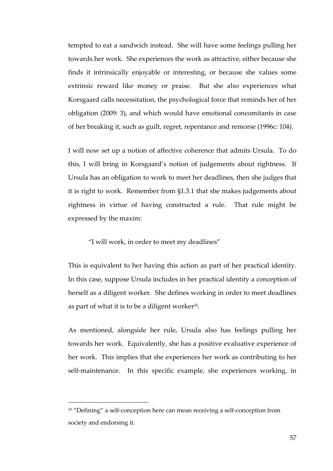tempted to eat a sandwich instead. She will have some feelings pulling her towards her work. She experiences the work as attractive, either because she finds it intrinsically enjoyable or interesting, or because she values some extrinsic reward like money or praise. But she also experiences what Korsgaard calls necessitation, the psychological force that reminds her of her obligation (2009: 3), and which would have emotional concomitants in case of her breaking it, such as guilt, regret, repentance and remorse (1996c: 104).

I will now set up a notion of affective coherence that admits Ursula. To do this, I will bring in Korsgaard's notion of judgements about rightness. If Ursula has an obligation to work to meet her deadlines, then she judges that it is right to work. Remember from §1.3.1 that she makes judgements about rightness in virtue of having constructed a rule. That rule might be expressed by the maxim:

"I will work, in order to meet my deadlines"

This is equivalent to her having this action as part of her practical identity. In this case, suppose Ursula includes in her practical identity a conception of herself as a diligent worker. She defines working in order to meet deadlines as part of what it is to be a diligent worker $24$ .

As mentioned, alongside her rule, Ursula also has feelings pulling her towards her work. Equivalently, she has a positive evaluative experience of her work. This implies that she experiences her work as contributing to her self-maintenance. In this specific example, she experiences working, in

-

<sup>&</sup>lt;sup>24</sup> "Defining" a self-conception here can mean receiving a self-conception from society and endorsing it.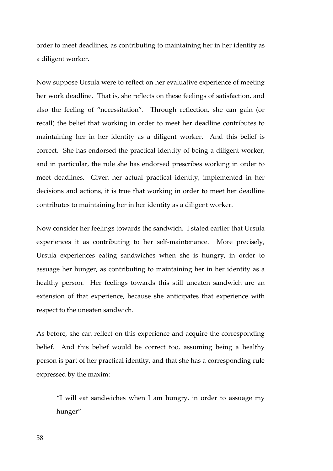order to meet deadlines, as contributing to maintaining her in her identity as a diligent worker.

Now suppose Ursula were to reflect on her evaluative experience of meeting her work deadline. That is, she reflects on these feelings of satisfaction, and also the feeling of "necessitation". Through reflection, she can gain (or recall) the belief that working in order to meet her deadline contributes to maintaining her in her identity as a diligent worker. And this belief is correct. She has endorsed the practical identity of being a diligent worker, and in particular, the rule she has endorsed prescribes working in order to meet deadlines. Given her actual practical identity, implemented in her decisions and actions, it is true that working in order to meet her deadline contributes to maintaining her in her identity as a diligent worker.

Now consider her feelings towards the sandwich. I stated earlier that Ursula experiences it as contributing to her self-maintenance. More precisely, Ursula experiences eating sandwiches when she is hungry, in order to assuage her hunger, as contributing to maintaining her in her identity as a healthy person. Her feelings towards this still uneaten sandwich are an extension of that experience, because she anticipates that experience with respect to the uneaten sandwich.

As before, she can reflect on this experience and acquire the corresponding belief. And this belief would be correct too, assuming being a healthy person is part of her practical identity, and that she has a corresponding rule expressed by the maxim:

"I will eat sandwiches when I am hungry, in order to assuage my hunger"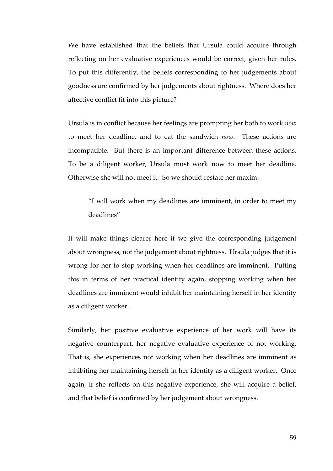We have established that the beliefs that Ursula could acquire through reflecting on her evaluative experiences would be correct, given her rules. To put this differently, the beliefs corresponding to her judgements about goodness are confirmed by her judgements about rightness. Where does her affective conflict fit into this picture?

Ursula is in conflict because her feelings are prompting her both to work *now* to meet her deadline, and to eat the sandwich *now*. These actions are incompatible. But there is an important difference between these actions. To be a diligent worker, Ursula must work now to meet her deadline. Otherwise she will not meet it. So we should restate her maxim:

"I will work when my deadlines are imminent, in order to meet my deadlines"

It will make things clearer here if we give the corresponding judgement about wrongness, not the judgement about rightness. Ursula judges that it is wrong for her to stop working when her deadlines are imminent. Putting this in terms of her practical identity again, stopping working when her deadlines are imminent would inhibit her maintaining herself in her identity as a diligent worker.

Similarly, her positive evaluative experience of her work will have its negative counterpart, her negative evaluative experience of not working. That is, she experiences not working when her deadlines are imminent as inhibiting her maintaining herself in her identity as a diligent worker. Once again, if she reflects on this negative experience, she will acquire a belief, and that belief is confirmed by her judgement about wrongness.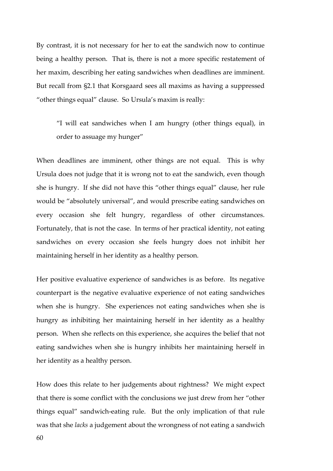By contrast, it is not necessary for her to eat the sandwich now to continue being a healthy person. That is, there is not a more specific restatement of her maxim, describing her eating sandwiches when deadlines are imminent. But recall from §2.1 that Korsgaard sees all maxims as having a suppressed "other things equal" clause. So Ursula's maxim is really:

"I will eat sandwiches when I am hungry (other things equal), in order to assuage my hunger"

When deadlines are imminent, other things are not equal. This is why Ursula does not judge that it is wrong not to eat the sandwich, even though she is hungry. If she did not have this "other things equal" clause, her rule would be "absolutely universal", and would prescribe eating sandwiches on every occasion she felt hungry, regardless of other circumstances. Fortunately, that is not the case. In terms of her practical identity, not eating sandwiches on every occasion she feels hungry does not inhibit her maintaining herself in her identity as a healthy person.

Her positive evaluative experience of sandwiches is as before. Its negative counterpart is the negative evaluative experience of not eating sandwiches when she is hungry. She experiences not eating sandwiches when she is hungry as inhibiting her maintaining herself in her identity as a healthy person. When she reflects on this experience, she acquires the belief that not eating sandwiches when she is hungry inhibits her maintaining herself in her identity as a healthy person.

How does this relate to her judgements about rightness? We might expect that there is some conflict with the conclusions we just drew from her "other things equal" sandwich-eating rule. But the only implication of that rule was that she *lacks* a judgement about the wrongness of not eating a sandwich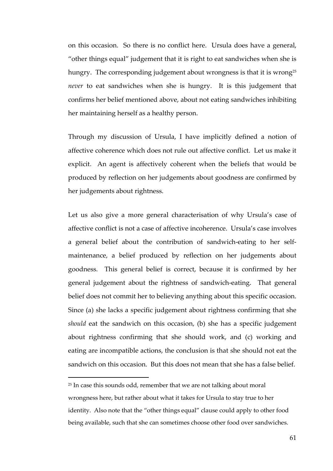on this occasion. So there is no conflict here. Ursula does have a general, "other things equal" judgement that it is right to eat sandwiches when she is hungry. The corresponding judgement about wrongness is that it is wrong<sup>25</sup> *never* to eat sandwiches when she is hungry. It is this judgement that confirms her belief mentioned above, about not eating sandwiches inhibiting her maintaining herself as a healthy person.

Through my discussion of Ursula, I have implicitly defined a notion of affective coherence which does not rule out affective conflict. Let us make it explicit. An agent is affectively coherent when the beliefs that would be produced by reflection on her judgements about goodness are confirmed by her judgements about rightness.

Let us also give a more general characterisation of why Ursula's case of affective conflict is not a case of affective incoherence. Ursula's case involves a general belief about the contribution of sandwich-eating to her selfmaintenance, a belief produced by reflection on her judgements about goodness. This general belief is correct, because it is confirmed by her general judgement about the rightness of sandwich-eating. That general belief does not commit her to believing anything about this specific occasion. Since (a) she lacks a specific judgement about rightness confirming that she *should* eat the sandwich on this occasion, (b) she has a specific judgement about rightness confirming that she should work, and (c) working and eating are incompatible actions, the conclusion is that she should not eat the sandwich on this occasion. But this does not mean that she has a false belief.

-

<sup>&</sup>lt;sup>25</sup> In case this sounds odd, remember that we are not talking about moral wrongness here, but rather about what it takes for Ursula to stay true to her identity. Also note that the "other things equal" clause could apply to other food being available, such that she can sometimes choose other food over sandwiches.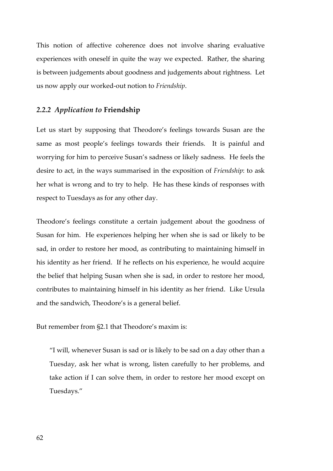This notion of affective coherence does not involve sharing evaluative experiences with oneself in quite the way we expected. Rather, the sharing is between judgements about goodness and judgements about rightness. Let us now apply our worked-out notion to *Friendship*.

#### *2.2.2 Application to* **Friendship**

Let us start by supposing that Theodore's feelings towards Susan are the same as most people's feelings towards their friends. It is painful and worrying for him to perceive Susan's sadness or likely sadness. He feels the desire to act, in the ways summarised in the exposition of *Friendship*: to ask her what is wrong and to try to help. He has these kinds of responses with respect to Tuesdays as for any other day.

Theodore's feelings constitute a certain judgement about the goodness of Susan for him. He experiences helping her when she is sad or likely to be sad, in order to restore her mood, as contributing to maintaining himself in his identity as her friend. If he reflects on his experience, he would acquire the belief that helping Susan when she is sad, in order to restore her mood, contributes to maintaining himself in his identity as her friend. Like Ursula and the sandwich, Theodore's is a general belief.

But remember from §2.1 that Theodore's maxim is:

"I will, whenever Susan is sad or is likely to be sad on a day other than a Tuesday, ask her what is wrong, listen carefully to her problems, and take action if I can solve them, in order to restore her mood except on Tuesdays."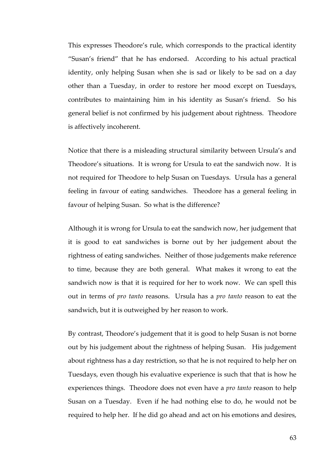This expresses Theodore's rule, which corresponds to the practical identity "Susan's friend" that he has endorsed. According to his actual practical identity, only helping Susan when she is sad or likely to be sad on a day other than a Tuesday, in order to restore her mood except on Tuesdays, contributes to maintaining him in his identity as Susan's friend. So his general belief is not confirmed by his judgement about rightness. Theodore is affectively incoherent.

Notice that there is a misleading structural similarity between Ursula's and Theodore's situations. It is wrong for Ursula to eat the sandwich now. It is not required for Theodore to help Susan on Tuesdays. Ursula has a general feeling in favour of eating sandwiches. Theodore has a general feeling in favour of helping Susan. So what is the difference?

Although it is wrong for Ursula to eat the sandwich now, her judgement that it is good to eat sandwiches is borne out by her judgement about the rightness of eating sandwiches. Neither of those judgements make reference to time, because they are both general. What makes it wrong to eat the sandwich now is that it is required for her to work now. We can spell this out in terms of *pro tanto* reasons. Ursula has a *pro tanto* reason to eat the sandwich, but it is outweighed by her reason to work.

By contrast, Theodore's judgement that it is good to help Susan is not borne out by his judgement about the rightness of helping Susan. His judgement about rightness has a day restriction, so that he is not required to help her on Tuesdays, even though his evaluative experience is such that that is how he experiences things. Theodore does not even have a *pro tanto* reason to help Susan on a Tuesday. Even if he had nothing else to do, he would not be required to help her. If he did go ahead and act on his emotions and desires,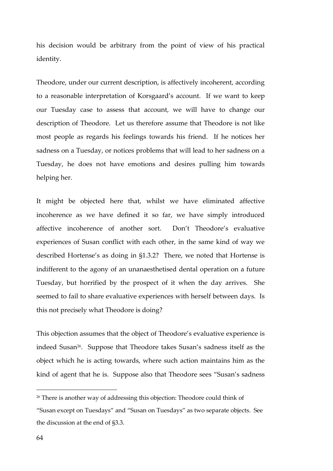his decision would be arbitrary from the point of view of his practical identity.

Theodore, under our current description, is affectively incoherent, according to a reasonable interpretation of Korsgaard's account. If we want to keep our Tuesday case to assess that account, we will have to change our description of Theodore. Let us therefore assume that Theodore is not like most people as regards his feelings towards his friend. If he notices her sadness on a Tuesday, or notices problems that will lead to her sadness on a Tuesday, he does not have emotions and desires pulling him towards helping her.

It might be objected here that, whilst we have eliminated affective incoherence as we have defined it so far, we have simply introduced affective incoherence of another sort. Don't Theodore's evaluative experiences of Susan conflict with each other, in the same kind of way we described Hortense's as doing in §1.3.2? There, we noted that Hortense is indifferent to the agony of an unanaesthetised dental operation on a future Tuesday, but horrified by the prospect of it when the day arrives. She seemed to fail to share evaluative experiences with herself between days. Is this not precisely what Theodore is doing?

This objection assumes that the object of Theodore's evaluative experience is indeed Susan<sup>26</sup>. Suppose that Theodore takes Susan's sadness itself as the object which he is acting towards, where such action maintains him as the kind of agent that he is. Suppose also that Theodore sees "Susan's sadness

 $\overline{a}$ 

<sup>&</sup>lt;sup>26</sup> There is another way of addressing this objection: Theodore could think of "Susan except on Tuesdays" and "Susan on Tuesdays" as two separate objects. See the discussion at the end of §3.3.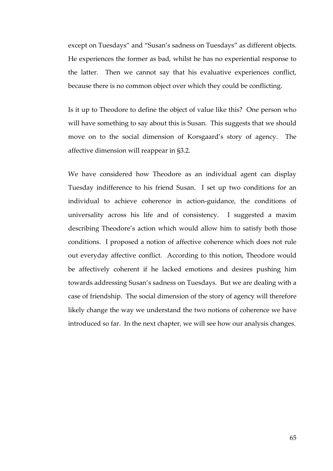except on Tuesdays" and "Susan's sadness on Tuesdays" as different objects. He experiences the former as bad, whilst he has no experiential response to the latter. Then we cannot say that his evaluative experiences conflict, because there is no common object over which they could be conflicting.

Is it up to Theodore to define the object of value like this? One person who will have something to say about this is Susan. This suggests that we should move on to the social dimension of Korsgaard's story of agency. The affective dimension will reappear in §3.2.

We have considered how Theodore as an individual agent can display Tuesday indifference to his friend Susan. I set up two conditions for an individual to achieve coherence in action-guidance, the conditions of universality across his life and of consistency. I suggested a maxim describing Theodore's action which would allow him to satisfy both those conditions. I proposed a notion of affective coherence which does not rule out everyday affective conflict. According to this notion, Theodore would be affectively coherent if he lacked emotions and desires pushing him towards addressing Susan's sadness on Tuesdays. But we are dealing with a case of friendship. The social dimension of the story of agency will therefore likely change the way we understand the two notions of coherence we have introduced so far. In the next chapter, we will see how our analysis changes.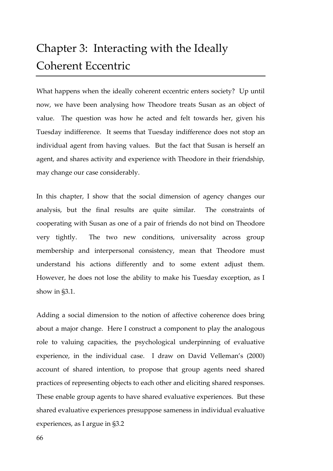## Chapter 3: Interacting with the Ideally Coherent Eccentric

What happens when the ideally coherent eccentric enters society? Up until now, we have been analysing how Theodore treats Susan as an object of value. The question was how he acted and felt towards her, given his Tuesday indifference. It seems that Tuesday indifference does not stop an individual agent from having values. But the fact that Susan is herself an agent, and shares activity and experience with Theodore in their friendship, may change our case considerably.

In this chapter, I show that the social dimension of agency changes our analysis, but the final results are quite similar. The constraints of cooperating with Susan as one of a pair of friends do not bind on Theodore very tightly. The two new conditions, universality across group membership and interpersonal consistency, mean that Theodore must understand his actions differently and to some extent adjust them. However, he does not lose the ability to make his Tuesday exception, as I show in §3.1.

Adding a social dimension to the notion of affective coherence does bring about a major change. Here I construct a component to play the analogous role to valuing capacities, the psychological underpinning of evaluative experience, in the individual case. I draw on David Velleman's (2000) account of shared intention, to propose that group agents need shared practices of representing objects to each other and eliciting shared responses. These enable group agents to have shared evaluative experiences. But these shared evaluative experiences presuppose sameness in individual evaluative experiences, as I argue in §3.2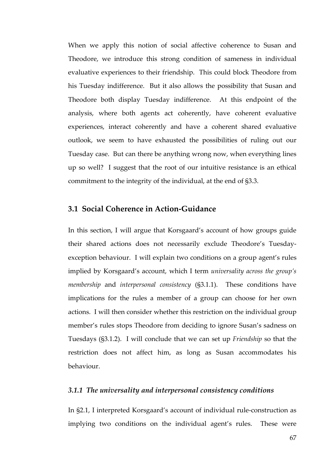When we apply this notion of social affective coherence to Susan and Theodore, we introduce this strong condition of sameness in individual evaluative experiences to their friendship. This could block Theodore from his Tuesday indifference. But it also allows the possibility that Susan and Theodore both display Tuesday indifference. At this endpoint of the analysis, where both agents act coherently, have coherent evaluative experiences, interact coherently and have a coherent shared evaluative outlook, we seem to have exhausted the possibilities of ruling out our Tuesday case. But can there be anything wrong now, when everything lines up so well? I suggest that the root of our intuitive resistance is an ethical commitment to the integrity of the individual, at the end of §3.3.

## **3.1 Social Coherence in Action-Guidance**

In this section, I will argue that Korsgaard's account of how groups guide their shared actions does not necessarily exclude Theodore's Tuesdayexception behaviour. I will explain two conditions on a group agent's rules implied by Korsgaard's account, which I term *universality across the group's membership* and *interpersonal consistency* (§3.1.1). These conditions have implications for the rules a member of a group can choose for her own actions. I will then consider whether this restriction on the individual group member's rules stops Theodore from deciding to ignore Susan's sadness on Tuesdays (§3.1.2). I will conclude that we can set up *Friendship* so that the restriction does not affect him, as long as Susan accommodates his behaviour.

#### *3.1.1 The universality and interpersonal consistency conditions*

In §2.1, I interpreted Korsgaard's account of individual rule-construction as implying two conditions on the individual agent's rules. These were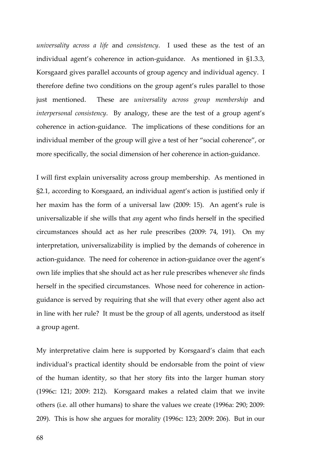*universality across a life* and *consistency*. I used these as the test of an individual agent's coherence in action-guidance. As mentioned in §1.3.3, Korsgaard gives parallel accounts of group agency and individual agency. I therefore define two conditions on the group agent's rules parallel to those just mentioned. These are *universality across group membership* and *interpersonal consistency*. By analogy, these are the test of a group agent's coherence in action-guidance. The implications of these conditions for an individual member of the group will give a test of her "social coherence", or more specifically, the social dimension of her coherence in action-guidance.

I will first explain universality across group membership. As mentioned in §2.1, according to Korsgaard, an individual agent's action is justified only if her maxim has the form of a universal law (2009: 15). An agent's rule is universalizable if she wills that *any* agent who finds herself in the specified circumstances should act as her rule prescribes (2009: 74, 191). On my interpretation, universalizability is implied by the demands of coherence in action-guidance. The need for coherence in action-guidance over the agent's own life implies that she should act as her rule prescribes whenever *she* finds herself in the specified circumstances. Whose need for coherence in actionguidance is served by requiring that she will that every other agent also act in line with her rule? It must be the group of all agents, understood as itself a group agent.

My interpretative claim here is supported by Korsgaard's claim that each individual's practical identity should be endorsable from the point of view of the human identity, so that her story fits into the larger human story (1996c: 121; 2009: 212). Korsgaard makes a related claim that we invite others (i.e. all other humans) to share the values we create (1996a: 290; 2009: 209). This is how she argues for morality (1996c: 123; 2009: 206). But in our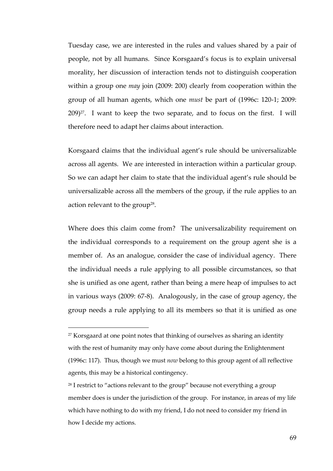Tuesday case, we are interested in the rules and values shared by a pair of people, not by all humans. Since Korsgaard's focus is to explain universal morality, her discussion of interaction tends not to distinguish cooperation within a group one *may* join (2009: 200) clearly from cooperation within the group of all human agents, which one *must* be part of (1996c: 120-1; 2009:  $209)^{27}$ . I want to keep the two separate, and to focus on the first. I will therefore need to adapt her claims about interaction.

Korsgaard claims that the individual agent's rule should be universalizable across all agents. We are interested in interaction within a particular group. So we can adapt her claim to state that the individual agent's rule should be universalizable across all the members of the group, if the rule applies to an action relevant to the group<sup>28</sup>.

Where does this claim come from? The universalizability requirement on the individual corresponds to a requirement on the group agent she is a member of. As an analogue, consider the case of individual agency. There the individual needs a rule applying to all possible circumstances, so that she is unified as one agent, rather than being a mere heap of impulses to act in various ways (2009: 67-8). Analogously, in the case of group agency, the group needs a rule applying to all its members so that it is unified as one

-

<sup>&</sup>lt;sup>27</sup> Korsgaard at one point notes that thinking of ourselves as sharing an identity with the rest of humanity may only have come about during the Enlightenment (1996c: 117). Thus, though we must *now* belong to this group agent of all reflective agents, this may be a historical contingency.

<sup>&</sup>lt;sup>28</sup> I restrict to "actions relevant to the group" because not everything a group member does is under the jurisdiction of the group. For instance, in areas of my life which have nothing to do with my friend, I do not need to consider my friend in how I decide my actions.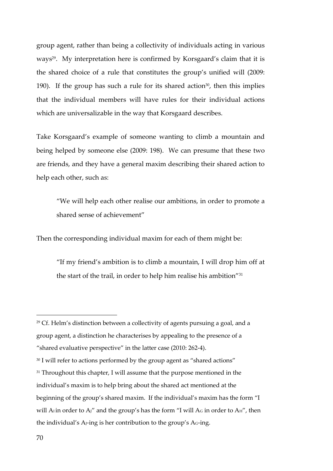group agent, rather than being a collectivity of individuals acting in various ways<sup>29</sup>. My interpretation here is confirmed by Korsgaard's claim that it is the shared choice of a rule that constitutes the group's unified will (2009: 190). If the group has such a rule for its shared action<sup>30</sup>, then this implies that the individual members will have rules for their individual actions which are universalizable in the way that Korsgaard describes.

Take Korsgaard's example of someone wanting to climb a mountain and being helped by someone else (2009: 198). We can presume that these two are friends, and they have a general maxim describing their shared action to help each other, such as:

"We will help each other realise our ambitions, in order to promote a shared sense of achievement"

Then the corresponding individual maxim for each of them might be:

"If my friend's ambition is to climb a mountain, I will drop him off at the start of the trail, in order to help him realise his ambition"<sup>31</sup>

 $\overline{a}$ 

<sup>&</sup>lt;sup>29</sup> Cf. Helm's distinction between a collectivity of agents pursuing a goal, and a group agent, a distinction he characterises by appealing to the presence of a "shared evaluative perspective" in the latter case (2010: 262-4). <sup>30</sup> I will refer to actions performed by the group agent as "shared actions" <sup>31</sup> Throughout this chapter, I will assume that the purpose mentioned in the individual's maxim is to help bring about the shared act mentioned at the beginning of the group's shared maxim. If the individual's maxim has the form "I will A<sub>i</sub> in order to A<sub>j</sub>" and the group's has the form "I will A<sub>G</sub> in order to A $_H$ ", then the individual's A<sub>J</sub>-ing is her contribution to the group's A<sub>G</sub>-ing.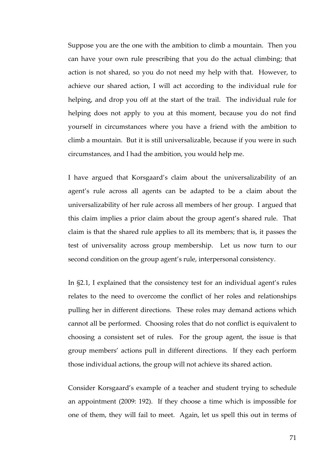Suppose you are the one with the ambition to climb a mountain. Then you can have your own rule prescribing that you do the actual climbing; that action is not shared, so you do not need my help with that. However, to achieve our shared action, I will act according to the individual rule for helping, and drop you off at the start of the trail. The individual rule for helping does not apply to you at this moment, because you do not find yourself in circumstances where you have a friend with the ambition to climb a mountain. But it is still universalizable, because if you were in such circumstances, and I had the ambition, you would help me.

I have argued that Korsgaard's claim about the universalizability of an agent's rule across all agents can be adapted to be a claim about the universalizability of her rule across all members of her group. I argued that this claim implies a prior claim about the group agent's shared rule. That claim is that the shared rule applies to all its members; that is, it passes the test of universality across group membership. Let us now turn to our second condition on the group agent's rule, interpersonal consistency.

In §2.1, I explained that the consistency test for an individual agent's rules relates to the need to overcome the conflict of her roles and relationships pulling her in different directions. These roles may demand actions which cannot all be performed. Choosing roles that do not conflict is equivalent to choosing a consistent set of rules. For the group agent, the issue is that group members' actions pull in different directions. If they each perform those individual actions, the group will not achieve its shared action.

Consider Korsgaard's example of a teacher and student trying to schedule an appointment (2009: 192). If they choose a time which is impossible for one of them, they will fail to meet. Again, let us spell this out in terms of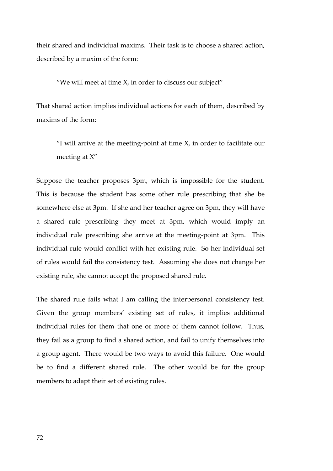their shared and individual maxims. Their task is to choose a shared action, described by a maxim of the form:

"We will meet at time X, in order to discuss our subject"

That shared action implies individual actions for each of them, described by maxims of the form:

"I will arrive at the meeting-point at time  $X$ , in order to facilitate our meeting at X"

Suppose the teacher proposes 3pm, which is impossible for the student. This is because the student has some other rule prescribing that she be somewhere else at 3pm. If she and her teacher agree on 3pm, they will have a shared rule prescribing they meet at 3pm, which would imply an individual rule prescribing she arrive at the meeting-point at 3pm. This individual rule would conflict with her existing rule. So her individual set of rules would fail the consistency test. Assuming she does not change her existing rule, she cannot accept the proposed shared rule.

The shared rule fails what I am calling the interpersonal consistency test. Given the group members' existing set of rules, it implies additional individual rules for them that one or more of them cannot follow. Thus, they fail as a group to find a shared action, and fail to unify themselves into a group agent. There would be two ways to avoid this failure. One would be to find a different shared rule. The other would be for the group members to adapt their set of existing rules.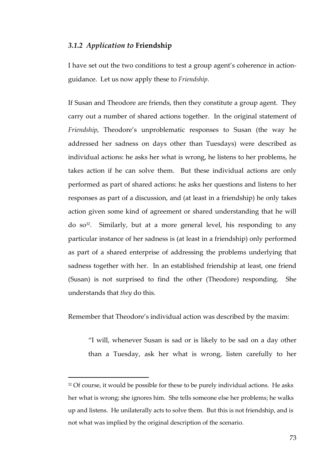#### *3.1.2 Application to* **Friendship**

-

I have set out the two conditions to test a group agent's coherence in actionguidance. Let us now apply these to *Friendship*.

If Susan and Theodore are friends, then they constitute a group agent. They carry out a number of shared actions together. In the original statement of *Friendship*, Theodore's unproblematic responses to Susan (the way he addressed her sadness on days other than Tuesdays) were described as individual actions: he asks her what is wrong, he listens to her problems, he takes action if he can solve them. But these individual actions are only performed as part of shared actions: he asks her questions and listens to her responses as part of a discussion, and (at least in a friendship) he only takes action given some kind of agreement or shared understanding that he will  $\alpha$  so<sup>32</sup>. Similarly, but at a more general level, his responding to any particular instance of her sadness is (at least in a friendship) only performed as part of a shared enterprise of addressing the problems underlying that sadness together with her. In an established friendship at least, one friend (Susan) is not surprised to find the other (Theodore) responding. She understands that *they* do this.

Remember that Theodore's individual action was described by the maxim:

"I will, whenever Susan is sad or is likely to be sad on a day other than a Tuesday, ask her what is wrong, listen carefully to her

<sup>&</sup>lt;sup>32</sup> Of course, it would be possible for these to be purely individual actions. He asks her what is wrong; she ignores him. She tells someone else her problems; he walks up and listens. He unilaterally acts to solve them. But this is not friendship, and is not what was implied by the original description of the scenario.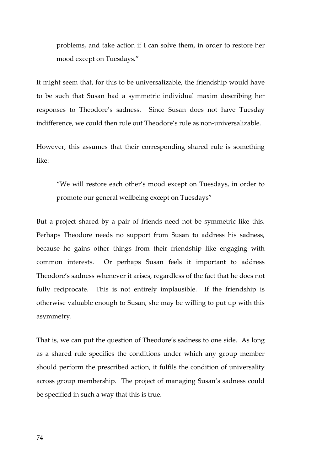problems, and take action if I can solve them, in order to restore her mood except on Tuesdays."

It might seem that, for this to be universalizable, the friendship would have to be such that Susan had a symmetric individual maxim describing her responses to Theodore's sadness. Since Susan does not have Tuesday indifference, we could then rule out Theodore's rule as non-universalizable.

However, this assumes that their corresponding shared rule is something like:

"We will restore each other's mood except on Tuesdays, in order to promote our general wellbeing except on Tuesdays"

But a project shared by a pair of friends need not be symmetric like this. Perhaps Theodore needs no support from Susan to address his sadness, because he gains other things from their friendship like engaging with common interests. Or perhaps Susan feels it important to address Theodore's sadness whenever it arises, regardless of the fact that he does not fully reciprocate. This is not entirely implausible. If the friendship is otherwise valuable enough to Susan, she may be willing to put up with this asymmetry.

That is, we can put the question of Theodore's sadness to one side. As long as a shared rule specifies the conditions under which any group member should perform the prescribed action, it fulfils the condition of universality across group membership. The project of managing Susan's sadness could be specified in such a way that this is true.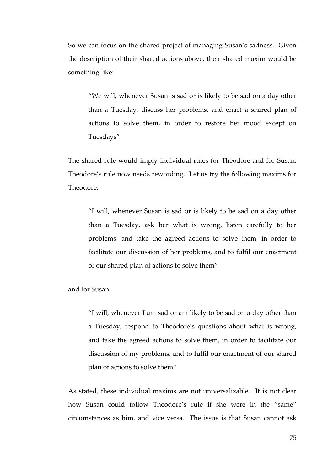So we can focus on the shared project of managing Susan's sadness. Given the description of their shared actions above, their shared maxim would be something like:

"We will, whenever Susan is sad or is likely to be sad on a day other than a Tuesday, discuss her problems, and enact a shared plan of actions to solve them, in order to restore her mood except on Tuesdays"

The shared rule would imply individual rules for Theodore and for Susan. Theodore's rule now needs rewording. Let us try the following maxims for Theodore:

"I will, whenever Susan is sad or is likely to be sad on a day other than a Tuesday, ask her what is wrong, listen carefully to her problems, and take the agreed actions to solve them, in order to facilitate our discussion of her problems, and to fulfil our enactment of our shared plan of actions to solve them"

and for Susan:

"I will, whenever I am sad or am likely to be sad on a day other than a Tuesday, respond to Theodore's questions about what is wrong, and take the agreed actions to solve them, in order to facilitate our discussion of my problems, and to fulfil our enactment of our shared plan of actions to solve them"

As stated, these individual maxims are not universalizable. It is not clear how Susan could follow Theodore's rule if she were in the "same" circumstances as him, and vice versa. The issue is that Susan cannot ask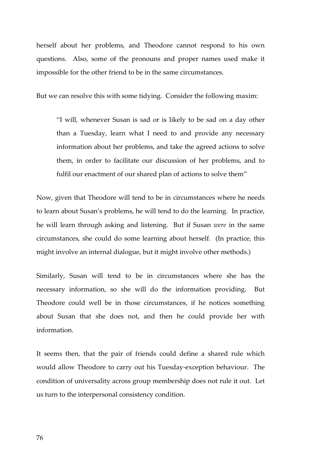herself about her problems, and Theodore cannot respond to his own questions. Also, some of the pronouns and proper names used make it impossible for the other friend to be in the same circumstances.

But we can resolve this with some tidying. Consider the following maxim:

"I will, whenever Susan is sad or is likely to be sad on a day other than a Tuesday, learn what I need to and provide any necessary information about her problems, and take the agreed actions to solve them, in order to facilitate our discussion of her problems, and to fulfil our enactment of our shared plan of actions to solve them"

Now, given that Theodore will tend to be in circumstances where he needs to learn about Susan's problems, he will tend to do the learning. In practice, he will learn through asking and listening. But if Susan *were* in the same circumstances, she could do some learning about herself. (In practice, this might involve an internal dialogue, but it might involve other methods.)

Similarly, Susan will tend to be in circumstances where she has the necessary information, so she will do the information providing. But Theodore could well be in those circumstances, if he notices something about Susan that she does not, and then he could provide her with information.

It seems then, that the pair of friends could define a shared rule which would allow Theodore to carry out his Tuesday-exception behaviour. The condition of universality across group membership does not rule it out. Let us turn to the interpersonal consistency condition.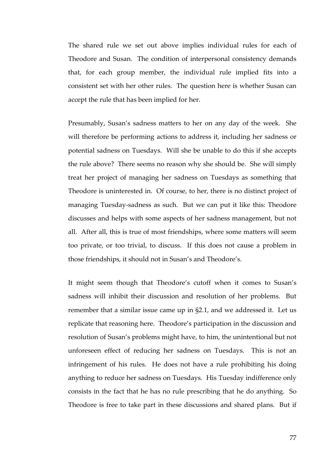The shared rule we set out above implies individual rules for each of Theodore and Susan. The condition of interpersonal consistency demands that, for each group member, the individual rule implied fits into a consistent set with her other rules. The question here is whether Susan can accept the rule that has been implied for her.

Presumably, Susan's sadness matters to her on any day of the week. She will therefore be performing actions to address it, including her sadness or potential sadness on Tuesdays. Will she be unable to do this if she accepts the rule above? There seems no reason why she should be. She will simply treat her project of managing her sadness on Tuesdays as something that Theodore is uninterested in. Of course, to her, there is no distinct project of managing Tuesday-sadness as such. But we can put it like this: Theodore discusses and helps with some aspects of her sadness management, but not all. After all, this is true of most friendships, where some matters will seem too private, or too trivial, to discuss. If this does not cause a problem in those friendships, it should not in Susan's and Theodore's.

It might seem though that Theodore's cutoff when it comes to Susan's sadness will inhibit their discussion and resolution of her problems. But remember that a similar issue came up in §2.1, and we addressed it. Let us replicate that reasoning here. Theodore's participation in the discussion and resolution of Susan's problems might have, to him, the unintentional but not unforeseen effect of reducing her sadness on Tuesdays. This is not an infringement of his rules. He does not have a rule prohibiting his doing anything to reduce her sadness on Tuesdays. His Tuesday indifference only consists in the fact that he has no rule prescribing that he do anything. So Theodore is free to take part in these discussions and shared plans. But if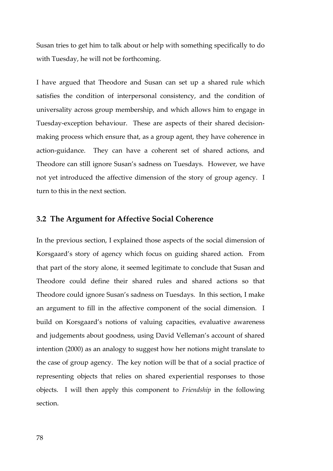Susan tries to get him to talk about or help with something specifically to do with Tuesday, he will not be forthcoming.

I have argued that Theodore and Susan can set up a shared rule which satisfies the condition of interpersonal consistency, and the condition of universality across group membership, and which allows him to engage in Tuesday-exception behaviour. These are aspects of their shared decisionmaking process which ensure that, as a group agent, they have coherence in action-guidance. They can have a coherent set of shared actions, and Theodore can still ignore Susan's sadness on Tuesdays. However, we have not yet introduced the affective dimension of the story of group agency. I turn to this in the next section.

### **3.2 The Argument for Affective Social Coherence**

In the previous section, I explained those aspects of the social dimension of Korsgaard's story of agency which focus on guiding shared action. From that part of the story alone, it seemed legitimate to conclude that Susan and Theodore could define their shared rules and shared actions so that Theodore could ignore Susan's sadness on Tuesdays. In this section, I make an argument to fill in the affective component of the social dimension. I build on Korsgaard's notions of valuing capacities, evaluative awareness and judgements about goodness, using David Velleman's account of shared intention (2000) as an analogy to suggest how her notions might translate to the case of group agency. The key notion will be that of a social practice of representing objects that relies on shared experiential responses to those objects. I will then apply this component to *Friendship* in the following section.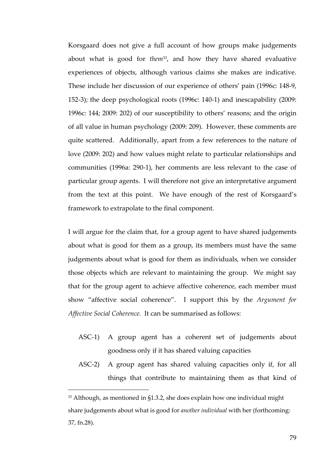Korsgaard does not give a full account of how groups make judgements about what is good for *them*<sup>33</sup>, and how they have shared evaluative experiences of objects, although various claims she makes are indicative. These include her discussion of our experience of others' pain (1996c: 148-9, 152-3); the deep psychological roots (1996c: 140-1) and inescapability (2009: 1996c: 144; 2009: 202) of our susceptibility to others' reasons; and the origin of all value in human psychology (2009: 209). However, these comments are quite scattered. Additionally, apart from a few references to the nature of love (2009: 202) and how values might relate to particular relationships and communities (1996a: 290-1), her comments are less relevant to the case of particular group agents. I will therefore not give an interpretative argument from the text at this point. We have enough of the rest of Korsgaard's framework to extrapolate to the final component.

I will argue for the claim that, for a group agent to have shared judgements about what is good for them as a group, its members must have the same judgements about what is good for them as individuals, when we consider those objects which are relevant to maintaining the group. We might say that for the group agent to achieve affective coherence, each member must show "affective social coherence". I support this by the *Argument for Affective Social Coherence.* It can be summarised as follows:

- ASC-1) A group agent has a coherent set of judgements about goodness only if it has shared valuing capacities
- ASC-2) A group agent has shared valuing capacities only if, for all things that contribute to maintaining them as that kind of

-

<sup>33</sup> Although, as mentioned in §1.3.2, she does explain how one individual might share judgements about what is good for *another individual* with her (forthcoming: 37, fn.28).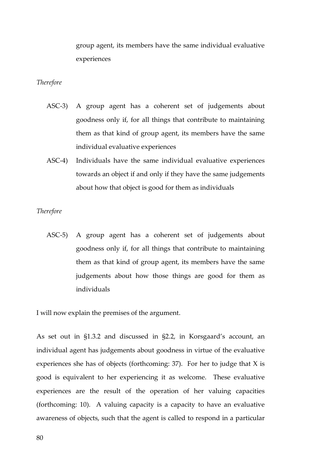group agent, its members have the same individual evaluative experiences

#### *Therefore*

- ASC-3) A group agent has a coherent set of judgements about goodness only if, for all things that contribute to maintaining them as that kind of group agent, its members have the same individual evaluative experiences
- ASC-4) Individuals have the same individual evaluative experiences towards an object if and only if they have the same judgements about how that object is good for them as individuals

#### *Therefore*

ASC-5) A group agent has a coherent set of judgements about goodness only if, for all things that contribute to maintaining them as that kind of group agent, its members have the same judgements about how those things are good for them as individuals

I will now explain the premises of the argument.

As set out in §1.3.2 and discussed in §2.2, in Korsgaard's account, an individual agent has judgements about goodness in virtue of the evaluative experiences she has of objects (forthcoming: 37). For her to judge that X is good is equivalent to her experiencing it as welcome. These evaluative experiences are the result of the operation of her valuing capacities (forthcoming: 10). A valuing capacity is a capacity to have an evaluative awareness of objects, such that the agent is called to respond in a particular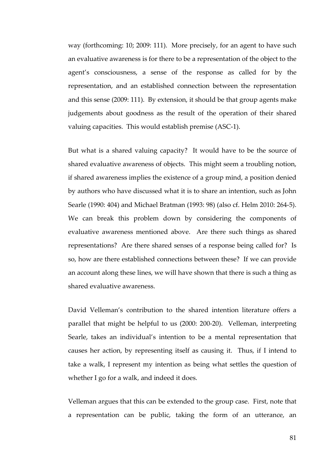way (forthcoming: 10; 2009: 111). More precisely, for an agent to have such an evaluative awareness is for there to be a representation of the object to the agent's consciousness, a sense of the response as called for by the representation, and an established connection between the representation and this sense (2009: 111). By extension, it should be that group agents make judgements about goodness as the result of the operation of their shared valuing capacities. This would establish premise (ASC-1).

But what is a shared valuing capacity? It would have to be the source of shared evaluative awareness of objects. This might seem a troubling notion, if shared awareness implies the existence of a group mind, a position denied by authors who have discussed what it is to share an intention, such as John Searle (1990: 404) and Michael Bratman (1993: 98) (also cf. Helm 2010: 264-5). We can break this problem down by considering the components of evaluative awareness mentioned above. Are there such things as shared representations? Are there shared senses of a response being called for? Is so, how are there established connections between these? If we can provide an account along these lines, we will have shown that there is such a thing as shared evaluative awareness.

David Velleman's contribution to the shared intention literature offers a parallel that might be helpful to us (2000: 200-20). Velleman, interpreting Searle, takes an individual's intention to be a mental representation that causes her action, by representing itself as causing it. Thus, if I intend to take a walk, I represent my intention as being what settles the question of whether I go for a walk, and indeed it does.

Velleman argues that this can be extended to the group case. First, note that a representation can be public, taking the form of an utterance, an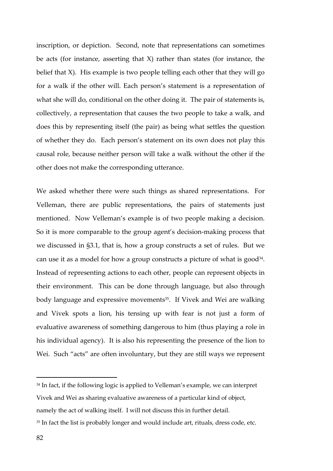inscription, or depiction. Second, note that representations can sometimes be acts (for instance, asserting that X) rather than states (for instance, the belief that X). His example is two people telling each other that they will go for a walk if the other will. Each person's statement is a representation of what she will do, conditional on the other doing it. The pair of statements is, collectively, a representation that causes the two people to take a walk, and does this by representing itself (the pair) as being what settles the question of whether they do. Each person's statement on its own does not play this causal role, because neither person will take a walk without the other if the other does not make the corresponding utterance.

We asked whether there were such things as shared representations. For Velleman, there are public representations, the pairs of statements just mentioned. Now Velleman's example is of two people making a decision. So it is more comparable to the group agent's decision-making process that we discussed in §3.1, that is, how a group constructs a set of rules. But we can use it as a model for how a group constructs a picture of what is good<sup>34</sup>. Instead of representing actions to each other, people can represent objects in their environment. This can be done through language, but also through body language and expressive movements<sup>35</sup>. If Vivek and Wei are walking and Vivek spots a lion, his tensing up with fear is not just a form of evaluative awareness of something dangerous to him (thus playing a role in his individual agency). It is also his representing the presence of the lion to Wei. Such "acts" are often involuntary, but they are still ways we represent

<sup>34</sup> In fact, if the following logic is applied to Velleman's example, we can interpret Vivek and Wei as sharing evaluative awareness of a particular kind of object, namely the act of walking itself. I will not discuss this in further detail.

 $\overline{a}$ 

<sup>&</sup>lt;sup>35</sup> In fact the list is probably longer and would include art, rituals, dress code, etc.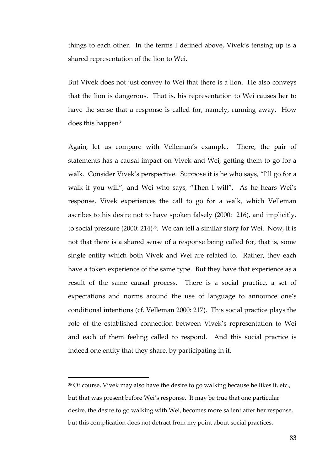things to each other. In the terms I defined above, Vivek's tensing up is a shared representation of the lion to Wei.

But Vivek does not just convey to Wei that there is a lion. He also conveys that the lion is dangerous. That is, his representation to Wei causes her to have the sense that a response is called for, namely, running away. How does this happen?

Again, let us compare with Velleman's example. There, the pair of statements has a causal impact on Vivek and Wei, getting them to go for a walk. Consider Vivek's perspective. Suppose it is he who says, "I'll go for a walk if you will", and Wei who says, "Then I will". As he hears Wei's response, Vivek experiences the call to go for a walk, which Velleman ascribes to his desire not to have spoken falsely (2000: 216), and implicitly, to social pressure (2000: 214)<sup>36</sup>. We can tell a similar story for Wei. Now, it is not that there is a shared sense of a response being called for, that is, some single entity which both Vivek and Wei are related to. Rather, they each have a token experience of the same type. But they have that experience as a result of the same causal process. There is a social practice, a set of expectations and norms around the use of language to announce one's conditional intentions (cf. Velleman 2000: 217). This social practice plays the role of the established connection between Vivek's representation to Wei and each of them feeling called to respond. And this social practice is indeed one entity that they share, by participating in it.

-

<sup>&</sup>lt;sup>36</sup> Of course, Vivek may also have the desire to go walking because he likes it, etc., but that was present before Wei's response. It may be true that one particular desire, the desire to go walking with Wei, becomes more salient after her response, but this complication does not detract from my point about social practices.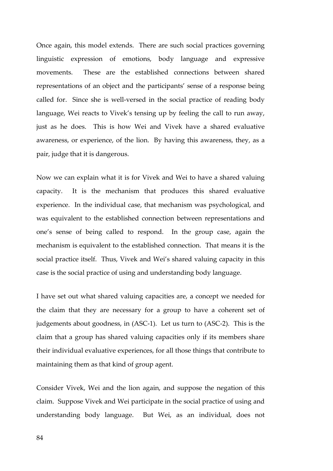Once again, this model extends. There are such social practices governing linguistic expression of emotions, body language and expressive movements. These are the established connections between shared representations of an object and the participants' sense of a response being called for. Since she is well-versed in the social practice of reading body language, Wei reacts to Vivek's tensing up by feeling the call to run away, just as he does. This is how Wei and Vivek have a shared evaluative awareness, or experience, of the lion. By having this awareness, they, as a pair, judge that it is dangerous.

Now we can explain what it is for Vivek and Wei to have a shared valuing capacity. It is the mechanism that produces this shared evaluative experience. In the individual case, that mechanism was psychological, and was equivalent to the established connection between representations and one's sense of being called to respond. In the group case, again the mechanism is equivalent to the established connection. That means it is the social practice itself. Thus, Vivek and Wei's shared valuing capacity in this case is the social practice of using and understanding body language.

I have set out what shared valuing capacities are, a concept we needed for the claim that they are necessary for a group to have a coherent set of judgements about goodness, in (ASC-1). Let us turn to (ASC-2). This is the claim that a group has shared valuing capacities only if its members share their individual evaluative experiences, for all those things that contribute to maintaining them as that kind of group agent.

Consider Vivek, Wei and the lion again, and suppose the negation of this claim. Suppose Vivek and Wei participate in the social practice of using and understanding body language. But Wei, as an individual, does not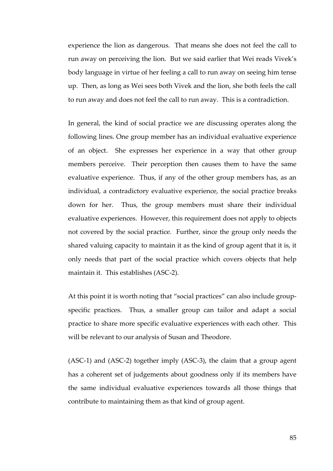experience the lion as dangerous. That means she does not feel the call to run away on perceiving the lion. But we said earlier that Wei reads Vivek's body language in virtue of her feeling a call to run away on seeing him tense up. Then, as long as Wei sees both Vivek and the lion, she both feels the call to run away and does not feel the call to run away. This is a contradiction.

In general, the kind of social practice we are discussing operates along the following lines. One group member has an individual evaluative experience of an object. She expresses her experience in a way that other group members perceive. Their perception then causes them to have the same evaluative experience. Thus, if any of the other group members has, as an individual, a contradictory evaluative experience, the social practice breaks down for her. Thus, the group members must share their individual evaluative experiences. However, this requirement does not apply to objects not covered by the social practice. Further, since the group only needs the shared valuing capacity to maintain it as the kind of group agent that it is, it only needs that part of the social practice which covers objects that help maintain it. This establishes (ASC-2).

At this point it is worth noting that "social practices" can also include groupspecific practices. Thus, a smaller group can tailor and adapt a social practice to share more specific evaluative experiences with each other. This will be relevant to our analysis of Susan and Theodore.

(ASC-1) and (ASC-2) together imply (ASC-3), the claim that a group agent has a coherent set of judgements about goodness only if its members have the same individual evaluative experiences towards all those things that contribute to maintaining them as that kind of group agent.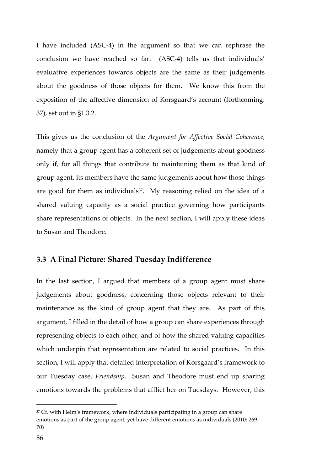I have included (ASC-4) in the argument so that we can rephrase the conclusion we have reached so far. (ASC-4) tells us that individuals' evaluative experiences towards objects are the same as their judgements about the goodness of those objects for them. We know this from the exposition of the affective dimension of Korsgaard's account (forthcoming: 37), set out in §1.3.2.

This gives us the conclusion of the *Argument for Affective Social Coherence*, namely that a group agent has a coherent set of judgements about goodness only if, for all things that contribute to maintaining them as that kind of group agent, its members have the same judgements about how those things are good for them as individuals $37$ . My reasoning relied on the idea of a shared valuing capacity as a social practice governing how participants share representations of objects. In the next section, I will apply these ideas to Susan and Theodore.

## **3.3 A Final Picture: Shared Tuesday Indifference**

In the last section, I argued that members of a group agent must share judgements about goodness, concerning those objects relevant to their maintenance as the kind of group agent that they are. As part of this argument, I filled in the detail of how a group can share experiences through representing objects to each other, and of how the shared valuing capacities which underpin that representation are related to social practices. In this section, I will apply that detailed interpretation of Korsgaard's framework to our Tuesday case, *Friendship*. Susan and Theodore must end up sharing emotions towards the problems that afflict her on Tuesdays. However, this

 $\overline{a}$ 

<sup>&</sup>lt;sup>37</sup> Cf. with Helm's framework, where individuals participating in a group can share emotions as part of the group agent, yet have different emotions as individuals (2010: 269- 70)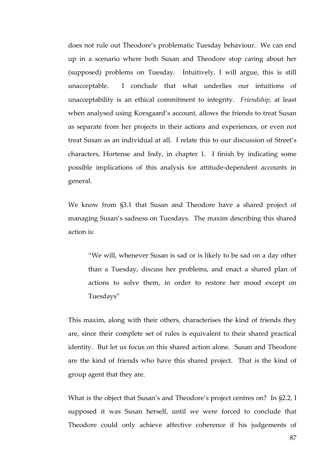does not rule out Theodore's problematic Tuesday behaviour. We can end up in a scenario where both Susan and Theodore stop caring about her (supposed) problems on Tuesday. Intuitively, I will argue, this is still unacceptable. I conclude that what underlies our intuitions of unacceptability is an ethical commitment to integrity. *Friendship*, at least when analysed using Korsgaard's account, allows the friends to treat Susan as separate from her projects in their actions and experiences, or even not treat Susan as an individual at all. I relate this to our discussion of Street's characters, Hortense and Indy, in chapter 1. I finish by indicating some possible implications of this analysis for attitude-dependent accounts in general.

We know from §3.1 that Susan and Theodore have a shared project of managing Susan's sadness on Tuesdays. The maxim describing this shared action is:

"We will, whenever Susan is sad or is likely to be sad on a day other than a Tuesday, discuss her problems, and enact a shared plan of actions to solve them, in order to restore her mood except on Tuesdays"

This maxim, along with their others, characterises the kind of friends they are, since their complete set of rules is equivalent to their shared practical identity. But let us focus on this shared action alone. Susan and Theodore are the kind of friends who have this shared project. That is the kind of group agent that they are.

What is the object that Susan's and Theodore's project centres on? In §2.2, I supposed it was Susan herself, until we were forced to conclude that Theodore could only achieve affective coherence if his judgements of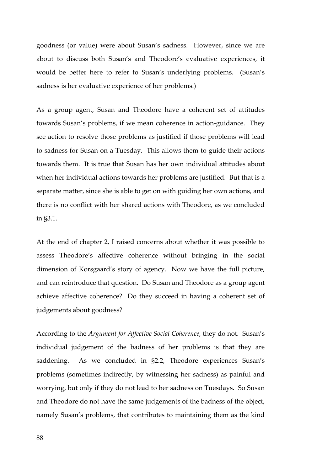goodness (or value) were about Susan's sadness. However, since we are about to discuss both Susan's and Theodore's evaluative experiences, it would be better here to refer to Susan's underlying problems. (Susan's sadness is her evaluative experience of her problems.)

As a group agent, Susan and Theodore have a coherent set of attitudes towards Susan's problems, if we mean coherence in action-guidance. They see action to resolve those problems as justified if those problems will lead to sadness for Susan on a Tuesday. This allows them to guide their actions towards them. It is true that Susan has her own individual attitudes about when her individual actions towards her problems are justified. But that is a separate matter, since she is able to get on with guiding her own actions, and there is no conflict with her shared actions with Theodore, as we concluded in §3.1.

At the end of chapter 2, I raised concerns about whether it was possible to assess Theodore's affective coherence without bringing in the social dimension of Korsgaard's story of agency. Now we have the full picture, and can reintroduce that question. Do Susan and Theodore as a group agent achieve affective coherence? Do they succeed in having a coherent set of judgements about goodness?

According to the *Argument for Affective Social Coherence*, they do not. Susan's individual judgement of the badness of her problems is that they are saddening. As we concluded in §2.2, Theodore experiences Susan's problems (sometimes indirectly, by witnessing her sadness) as painful and worrying, but only if they do not lead to her sadness on Tuesdays. So Susan and Theodore do not have the same judgements of the badness of the object, namely Susan's problems, that contributes to maintaining them as the kind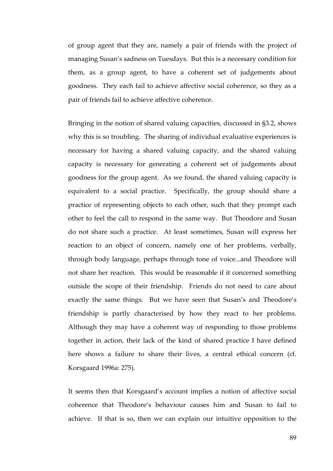of group agent that they are, namely a pair of friends with the project of managing Susan's sadness on Tuesdays. But this is a necessary condition for them, as a group agent, to have a coherent set of judgements about goodness. They each fail to achieve affective social coherence, so they as a pair of friends fail to achieve affective coherence.

Bringing in the notion of shared valuing capacities, discussed in §3.2, shows why this is so troubling. The sharing of individual evaluative experiences is necessary for having a shared valuing capacity, and the shared valuing capacity is necessary for generating a coherent set of judgements about goodness for the group agent. As we found, the shared valuing capacity is equivalent to a social practice. Specifically, the group should share a practice of representing objects to each other, such that they prompt each other to feel the call to respond in the same way. But Theodore and Susan do not share such a practice. At least sometimes, Susan will express her reaction to an object of concern, namely one of her problems, verbally, through body language, perhaps through tone of voice...and Theodore will not share her reaction. This would be reasonable if it concerned something outside the scope of their friendship. Friends do not need to care about exactly the same things. But we have seen that Susan's and Theodore's friendship is partly characterised by how they react to her problems. Although they may have a coherent way of responding to those problems together in action, their lack of the kind of shared practice I have defined here shows a failure to share their lives, a central ethical concern (cf. Korsgaard 1996a: 275).

It seems then that Korsgaard's account implies a notion of affective social coherence that Theodore's behaviour causes him and Susan to fail to achieve. If that is so, then we can explain our intuitive opposition to the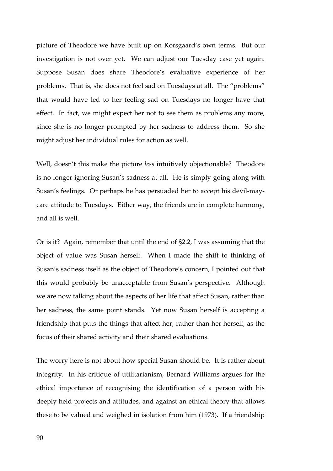picture of Theodore we have built up on Korsgaard's own terms. But our investigation is not over yet. We can adjust our Tuesday case yet again. Suppose Susan does share Theodore's evaluative experience of her problems. That is, she does not feel sad on Tuesdays at all. The "problems" that would have led to her feeling sad on Tuesdays no longer have that effect. In fact, we might expect her not to see them as problems any more, since she is no longer prompted by her sadness to address them. So she might adjust her individual rules for action as well.

Well, doesn't this make the picture *less* intuitively objectionable? Theodore is no longer ignoring Susan's sadness at all. He is simply going along with Susan's feelings. Or perhaps he has persuaded her to accept his devil-maycare attitude to Tuesdays. Either way, the friends are in complete harmony, and all is well.

Or is it? Again, remember that until the end of §2.2, I was assuming that the object of value was Susan herself. When I made the shift to thinking of Susan's sadness itself as the object of Theodore's concern, I pointed out that this would probably be unacceptable from Susan's perspective. Although we are now talking about the aspects of her life that affect Susan, rather than her sadness, the same point stands. Yet now Susan herself is accepting a friendship that puts the things that affect her, rather than her herself, as the focus of their shared activity and their shared evaluations.

The worry here is not about how special Susan should be. It is rather about integrity. In his critique of utilitarianism, Bernard Williams argues for the ethical importance of recognising the identification of a person with his deeply held projects and attitudes, and against an ethical theory that allows these to be valued and weighed in isolation from him (1973). If a friendship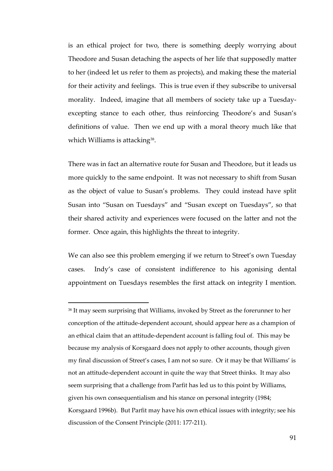is an ethical project for two, there is something deeply worrying about Theodore and Susan detaching the aspects of her life that supposedly matter to her (indeed let us refer to them as projects), and making these the material for their activity and feelings. This is true even if they subscribe to universal morality. Indeed, imagine that all members of society take up a Tuesdayexcepting stance to each other, thus reinforcing Theodore's and Susan's definitions of value. Then we end up with a moral theory much like that which Williams is attacking<sup>38</sup>.

There was in fact an alternative route for Susan and Theodore, but it leads us more quickly to the same endpoint. It was not necessary to shift from Susan as the object of value to Susan's problems. They could instead have split Susan into "Susan on Tuesdays" and "Susan except on Tuesdays", so that their shared activity and experiences were focused on the latter and not the former. Once again, this highlights the threat to integrity.

We can also see this problem emerging if we return to Street's own Tuesday cases. Indy's case of consistent indifference to his agonising dental appointment on Tuesdays resembles the first attack on integrity I mention.

-

<sup>&</sup>lt;sup>38</sup> It may seem surprising that Williams, invoked by Street as the forerunner to her conception of the attitude-dependent account, should appear here as a champion of an ethical claim that an attitude-dependent account is falling foul of. This may be because my analysis of Korsgaard does not apply to other accounts, though given my final discussion of Street's cases, I am not so sure. Or it may be that Williams' is not an attitude-dependent account in quite the way that Street thinks. It may also seem surprising that a challenge from Parfit has led us to this point by Williams, given his own consequentialism and his stance on personal integrity (1984; Korsgaard 1996b). But Parfit may have his own ethical issues with integrity; see his discussion of the Consent Principle (2011: 177-211).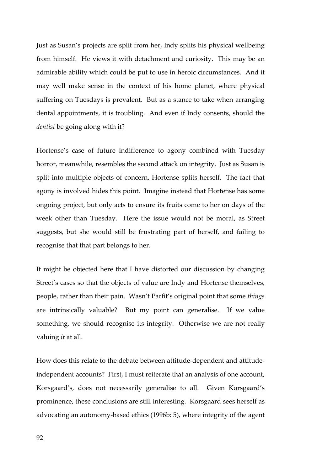Just as Susan's projects are split from her, Indy splits his physical wellbeing from himself. He views it with detachment and curiosity. This may be an admirable ability which could be put to use in heroic circumstances. And it may well make sense in the context of his home planet, where physical suffering on Tuesdays is prevalent. But as a stance to take when arranging dental appointments, it is troubling. And even if Indy consents, should the *dentist* be going along with it?

Hortense's case of future indifference to agony combined with Tuesday horror, meanwhile, resembles the second attack on integrity. Just as Susan is split into multiple objects of concern, Hortense splits herself. The fact that agony is involved hides this point. Imagine instead that Hortense has some ongoing project, but only acts to ensure its fruits come to her on days of the week other than Tuesday. Here the issue would not be moral, as Street suggests, but she would still be frustrating part of herself, and failing to recognise that that part belongs to her.

It might be objected here that I have distorted our discussion by changing Street's cases so that the objects of value are Indy and Hortense themselves, people, rather than their pain. Wasn't Parfit's original point that some *things*  are intrinsically valuable? But my point can generalise. If we value something, we should recognise its integrity. Otherwise we are not really valuing *it* at all.

How does this relate to the debate between attitude-dependent and attitudeindependent accounts? First, I must reiterate that an analysis of one account, Korsgaard's, does not necessarily generalise to all. Given Korsgaard's prominence, these conclusions are still interesting. Korsgaard sees herself as advocating an autonomy-based ethics (1996b: 5), where integrity of the agent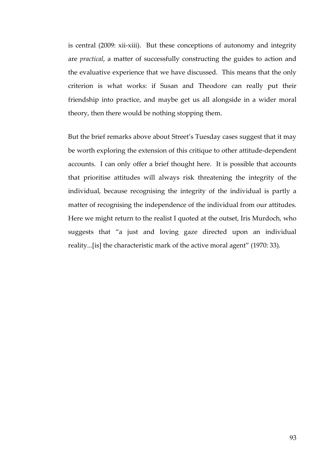is central (2009: xii-xiii). But these conceptions of autonomy and integrity are *practical*, a matter of successfully constructing the guides to action and the evaluative experience that we have discussed. This means that the only criterion is what works: if Susan and Theodore can really put their friendship into practice, and maybe get us all alongside in a wider moral theory, then there would be nothing stopping them.

But the brief remarks above about Street's Tuesday cases suggest that it may be worth exploring the extension of this critique to other attitude-dependent accounts. I can only offer a brief thought here. It is possible that accounts that prioritise attitudes will always risk threatening the integrity of the individual, because recognising the integrity of the individual is partly a matter of recognising the independence of the individual from our attitudes. Here we might return to the realist I quoted at the outset, Iris Murdoch, who suggests that "a just and loving gaze directed upon an individual reality...[is] the characteristic mark of the active moral agent" (1970: 33).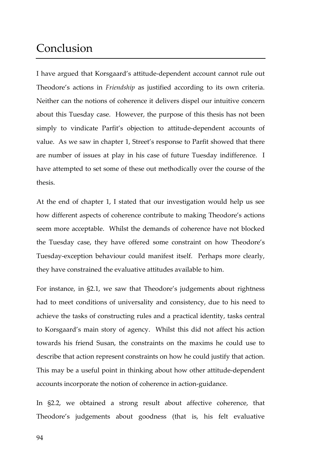# Conclusion

I have argued that Korsgaard's attitude-dependent account cannot rule out Theodore's actions in *Friendship* as justified according to its own criteria. Neither can the notions of coherence it delivers dispel our intuitive concern about this Tuesday case. However, the purpose of this thesis has not been simply to vindicate Parfit's objection to attitude-dependent accounts of value. As we saw in chapter 1, Street's response to Parfit showed that there are number of issues at play in his case of future Tuesday indifference. I have attempted to set some of these out methodically over the course of the thesis.

At the end of chapter 1, I stated that our investigation would help us see how different aspects of coherence contribute to making Theodore's actions seem more acceptable. Whilst the demands of coherence have not blocked the Tuesday case, they have offered some constraint on how Theodore's Tuesday-exception behaviour could manifest itself. Perhaps more clearly, they have constrained the evaluative attitudes available to him.

For instance, in §2.1, we saw that Theodore's judgements about rightness had to meet conditions of universality and consistency, due to his need to achieve the tasks of constructing rules and a practical identity, tasks central to Korsgaard's main story of agency. Whilst this did not affect his action towards his friend Susan, the constraints on the maxims he could use to describe that action represent constraints on how he could justify that action. This may be a useful point in thinking about how other attitude-dependent accounts incorporate the notion of coherence in action-guidance.

In §2.2, we obtained a strong result about affective coherence, that Theodore's judgements about goodness (that is, his felt evaluative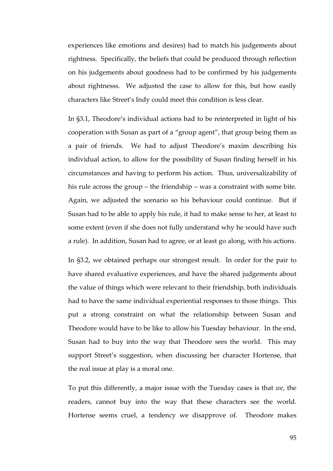experiences like emotions and desires) had to match his judgements about rightness. Specifically, the beliefs that could be produced through reflection on his judgements about goodness had to be confirmed by his judgements about rightnesss. We adjusted the case to allow for this, but how easily characters like Street's Indy could meet this condition is less clear.

In §3.1, Theodore's individual actions had to be reinterpreted in light of his cooperation with Susan as part of a "group agent", that group being them as a pair of friends. We had to adjust Theodore's maxim describing his individual action, to allow for the possibility of Susan finding herself in his circumstances and having to perform his action. Thus, universalizability of his rule across the group – the friendship – was a constraint with some bite. Again, we adjusted the scenario so his behaviour could continue. But if Susan had to be able to apply his rule, it had to make sense to her, at least to some extent (even if she does not fully understand why he would have such a rule). In addition, Susan had to agree, or at least go along, with his actions.

In §3.2, we obtained perhaps our strongest result. In order for the pair to have shared evaluative experiences, and have the shared judgements about the value of things which were relevant to their friendship, both individuals had to have the same individual experiential responses to those things. This put a strong constraint on what the relationship between Susan and Theodore would have to be like to allow his Tuesday behaviour. In the end, Susan had to buy into the way that Theodore sees the world. This may support Street's suggestion, when discussing her character Hortense, that the real issue at play is a moral one.

To put this differently, a major issue with the Tuesday cases is that *we*, the readers, cannot buy into the way that these characters see the world. Hortense seems cruel, a tendency we disapprove of. Theodore makes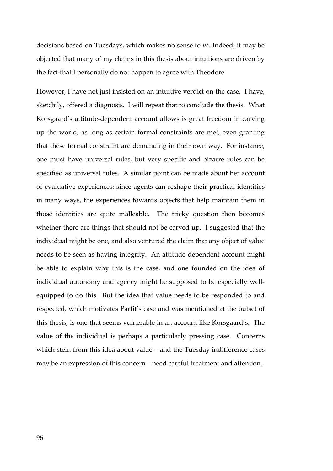decisions based on Tuesdays, which makes no sense to *us*. Indeed, it may be objected that many of my claims in this thesis about intuitions are driven by the fact that I personally do not happen to agree with Theodore.

However, I have not just insisted on an intuitive verdict on the case. I have, sketchily, offered a diagnosis. I will repeat that to conclude the thesis. What Korsgaard's attitude-dependent account allows is great freedom in carving up the world, as long as certain formal constraints are met, even granting that these formal constraint are demanding in their own way. For instance, one must have universal rules, but very specific and bizarre rules can be specified as universal rules. A similar point can be made about her account of evaluative experiences: since agents can reshape their practical identities in many ways, the experiences towards objects that help maintain them in those identities are quite malleable. The tricky question then becomes whether there are things that should not be carved up. I suggested that the individual might be one, and also ventured the claim that any object of value needs to be seen as having integrity. An attitude-dependent account might be able to explain why this is the case, and one founded on the idea of individual autonomy and agency might be supposed to be especially wellequipped to do this. But the idea that value needs to be responded to and respected, which motivates Parfit's case and was mentioned at the outset of this thesis, is one that seems vulnerable in an account like Korsgaard's. The value of the individual is perhaps a particularly pressing case. Concerns which stem from this idea about value – and the Tuesday indifference cases may be an expression of this concern – need careful treatment and attention.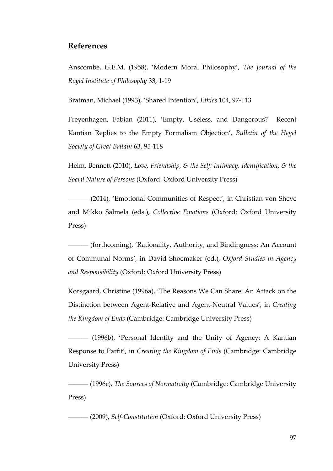## **References**

Anscombe, G.E.M. (1958), 'Modern Moral Philosophy', *The Journal of the Royal Institute of Philosophy* 33, 1-19

Bratman, Michael (1993), 'Shared Intention', *Ethics* 104, 97-113

Freyenhagen, Fabian (2011), 'Empty, Useless, and Dangerous? Recent Kantian Replies to the Empty Formalism Objection', *Bulletin of the Hegel Society of Great Britain* 63, 95-118

Helm, Bennett (2010), *Love, Friendship, & the Self: Intimacy, Identification, & the Social Nature of Persons* (Oxford: Oxford University Press)

——— (2014), 'Emotional Communities of Respect', in Christian von Sheve and Mikko Salmela (eds.), *Collective Emotions* (Oxford: Oxford University Press)

——— (forthcoming), 'Rationality, Authority, and Bindingness: An Account of Communal Norms', in David Shoemaker (ed.), *Oxford Studies in Agency and Responsibility* (Oxford: Oxford University Press)

Korsgaard, Christine (1996a), 'The Reasons We Can Share: An Attack on the Distinction between Agent-Relative and Agent-Neutral Values', in *Creating the Kingdom of Ends* (Cambridge: Cambridge University Press)

——— (1996b), 'Personal Identity and the Unity of Agency: A Kantian Response to Parfit', in *Creating the Kingdom of Ends* (Cambridge: Cambridge University Press)

——— (1996c), *The Sources of Normativity* (Cambridge: Cambridge University Press)

——— (2009), *Self-Constitution* (Oxford: Oxford University Press)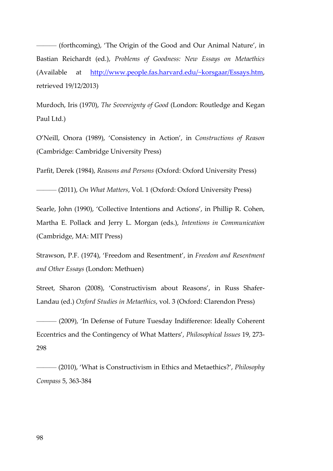——— (forthcoming), 'The Origin of the Good and Our Animal Nature', in Bastian Reichardt (ed.), *Problems of Goodness: New Essays on Metaethics* (Available at http://www.people.fas.harvard.edu/~korsgaar/Essays.htm, retrieved 19/12/2013)

Murdoch, Iris (1970), *The Sovereignty of Good* (London: Routledge and Kegan Paul Ltd.)

O'Neill, Onora (1989), 'Consistency in Action', in *Constructions of Reason*  (Cambridge: Cambridge University Press)

Parfit, Derek (1984), *Reasons and Persons* (Oxford: Oxford University Press)

——— (2011), *On What Matters*, Vol. 1 (Oxford: Oxford University Press)

Searle, John (1990), 'Collective Intentions and Actions', in Phillip R. Cohen, Martha E. Pollack and Jerry L. Morgan (eds.), *Intentions in Communication* (Cambridge, MA: MIT Press)

Strawson, P.F. (1974), 'Freedom and Resentment', in *Freedom and Resentment and Other Essays* (London: Methuen)

Street, Sharon (2008), 'Constructivism about Reasons', in Russ Shafer-Landau (ed.) *Oxford Studies in Metaethics*, vol. 3 (Oxford: Clarendon Press)

——— (2009), 'In Defense of Future Tuesday Indifference: Ideally Coherent Eccentrics and the Contingency of What Matters', *Philosophical Issues* 19, 273- 298

——— (2010), 'What is Constructivism in Ethics and Metaethics?', *Philosophy Compass* 5, 363-384

98